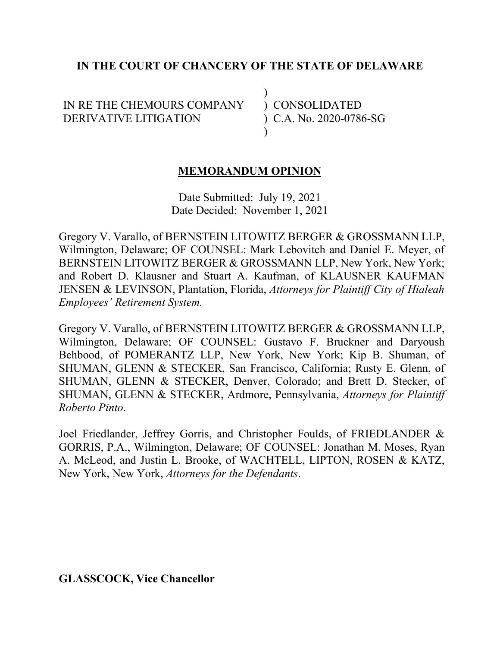### **IN THE COURT OF CHANCERY OF THE STATE OF DELAWARE**

 $\lambda$ 

 $\lambda$ 

IN RE THE CHEMOURS COMPANY DERIVATIVE LITIGATION

) CONSOLIDATED ) C.A. No. 2020-0786-SG

### **MEMORANDUM OPINION**

Date Submitted: July 19, 2021 Date Decided: November 1, 2021

Gregory V. Varallo, of BERNSTEIN LITOWITZ BERGER & GROSSMANN LLP, Wilmington, Delaware; OF COUNSEL: Mark Lebovitch and Daniel E. Meyer, of BERNSTEIN LITOWITZ BERGER & GROSSMANN LLP, New York, New York; and Robert D. Klausner and Stuart A. Kaufman, of KLAUSNER KAUFMAN JENSEN & LEVINSON, Plantation, Florida, *Attorneys for Plaintiff City of Hialeah Employees' Retirement System.*

Gregory V. Varallo, of BERNSTEIN LITOWITZ BERGER & GROSSMANN LLP, Wilmington, Delaware; OF COUNSEL: Gustavo F. Bruckner and Daryoush Behbood, of POMERANTZ LLP, New York, New York; Kip B. Shuman, of SHUMAN, GLENN & STECKER, San Francisco, California; Rusty E. Glenn, of SHUMAN, GLENN & STECKER, Denver, Colorado; and Brett D. Stecker, of SHUMAN, GLENN & STECKER, Ardmore, Pennsylvania, *Attorneys for Plaintiff Roberto Pinto*.

Joel Friedlander, Jeffrey Gorris, and Christopher Foulds, of FRIEDLANDER & GORRIS, P.A., Wilmington, Delaware; OF COUNSEL: Jonathan M. Moses, Ryan A. McLeod, and Justin L. Brooke, of WACHTELL, LIPTON, ROSEN & KATZ, New York, New York, *Attorneys for the Defendants*.

**GLASSCOCK, Vice Chancellor**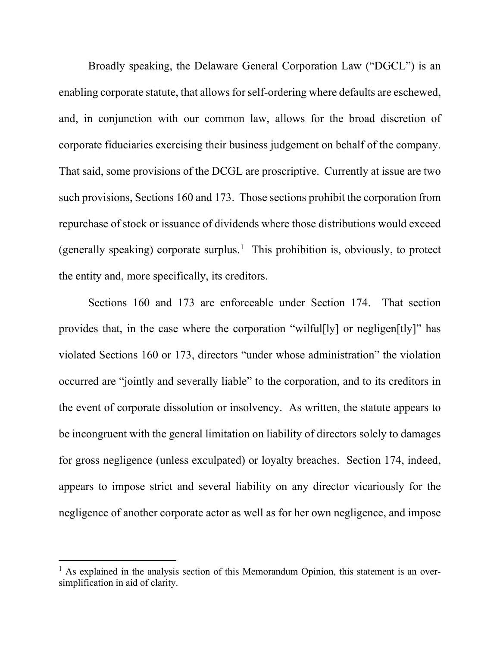Broadly speaking, the Delaware General Corporation Law ("DGCL") is an enabling corporate statute, that allows for self-ordering where defaults are eschewed, and, in conjunction with our common law, allows for the broad discretion of corporate fiduciaries exercising their business judgement on behalf of the company. That said, some provisions of the DCGL are proscriptive. Currently at issue are two such provisions, Sections 160 and 173. Those sections prohibit the corporation from repurchase of stock or issuance of dividends where those distributions would exceed (generally speaking) corporate surplus.<sup>1</sup> This prohibition is, obviously, to protect the entity and, more specifically, its creditors.

Sections 160 and 173 are enforceable under Section 174. That section provides that, in the case where the corporation "wilful[ly] or negligen[tly]" has violated Sections 160 or 173, directors "under whose administration" the violation occurred are "jointly and severally liable" to the corporation, and to its creditors in the event of corporate dissolution or insolvency. As written, the statute appears to be incongruent with the general limitation on liability of directors solely to damages for gross negligence (unless exculpated) or loyalty breaches. Section 174, indeed, appears to impose strict and several liability on any director vicariously for the negligence of another corporate actor as well as for her own negligence, and impose

 $<sup>1</sup>$  As explained in the analysis section of this Memorandum Opinion, this statement is an over-</sup> simplification in aid of clarity.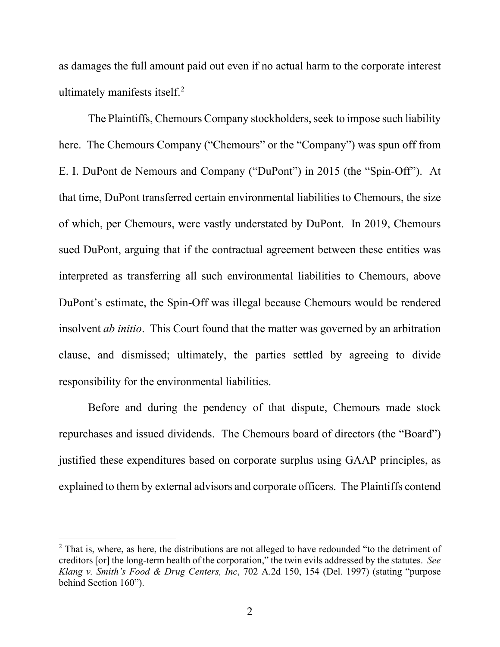as damages the full amount paid out even if no actual harm to the corporate interest ultimately manifests itself. $2$ 

The Plaintiffs, Chemours Company stockholders, seek to impose such liability here. The Chemours Company ("Chemours" or the "Company") was spun off from E. I. DuPont de Nemours and Company ("DuPont") in 2015 (the "Spin-Off"). At that time, DuPont transferred certain environmental liabilities to Chemours, the size of which, per Chemours, were vastly understated by DuPont. In 2019, Chemours sued DuPont, arguing that if the contractual agreement between these entities was interpreted as transferring all such environmental liabilities to Chemours, above DuPont's estimate, the Spin-Off was illegal because Chemours would be rendered insolvent *ab initio*. This Court found that the matter was governed by an arbitration clause, and dismissed; ultimately, the parties settled by agreeing to divide responsibility for the environmental liabilities.

Before and during the pendency of that dispute, Chemours made stock repurchases and issued dividends. The Chemours board of directors (the "Board") justified these expenditures based on corporate surplus using GAAP principles, as explained to them by external advisors and corporate officers. The Plaintiffs contend

 $2$  That is, where, as here, the distributions are not alleged to have redounded "to the detriment of creditors [or] the long-term health of the corporation," the twin evils addressed by the statutes. *See Klang v. Smith's Food & Drug Centers, Inc*, 702 A.2d 150, 154 (Del. 1997) (stating "purpose behind Section 160").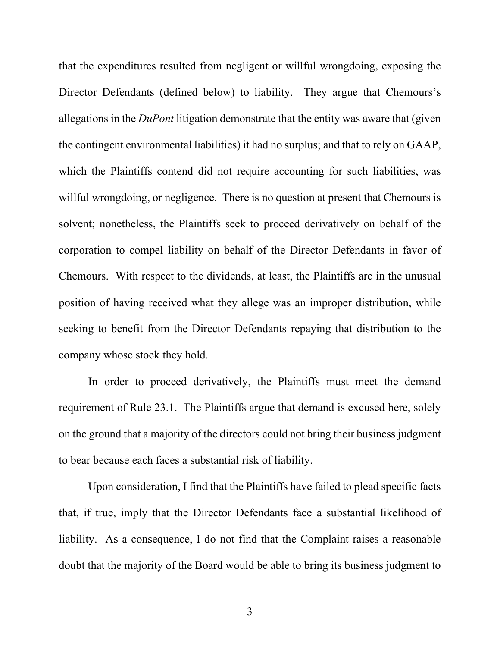that the expenditures resulted from negligent or willful wrongdoing, exposing the Director Defendants (defined below) to liability. They argue that Chemours's allegations in the *DuPont* litigation demonstrate that the entity was aware that (given the contingent environmental liabilities) it had no surplus; and that to rely on GAAP, which the Plaintiffs contend did not require accounting for such liabilities, was willful wrongdoing, or negligence. There is no question at present that Chemours is solvent; nonetheless, the Plaintiffs seek to proceed derivatively on behalf of the corporation to compel liability on behalf of the Director Defendants in favor of Chemours. With respect to the dividends, at least, the Plaintiffs are in the unusual position of having received what they allege was an improper distribution, while seeking to benefit from the Director Defendants repaying that distribution to the company whose stock they hold.

In order to proceed derivatively, the Plaintiffs must meet the demand requirement of Rule 23.1. The Plaintiffs argue that demand is excused here, solely on the ground that a majority of the directors could not bring their business judgment to bear because each faces a substantial risk of liability.

Upon consideration, I find that the Plaintiffs have failed to plead specific facts that, if true, imply that the Director Defendants face a substantial likelihood of liability. As a consequence, I do not find that the Complaint raises a reasonable doubt that the majority of the Board would be able to bring its business judgment to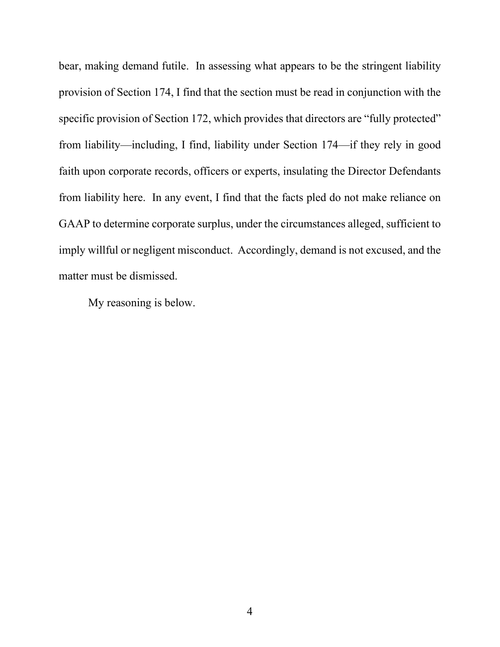bear, making demand futile. In assessing what appears to be the stringent liability provision of Section 174, I find that the section must be read in conjunction with the specific provision of Section 172, which provides that directors are "fully protected" from liability—including, I find, liability under Section 174—if they rely in good faith upon corporate records, officers or experts, insulating the Director Defendants from liability here. In any event, I find that the facts pled do not make reliance on GAAP to determine corporate surplus, under the circumstances alleged, sufficient to imply willful or negligent misconduct. Accordingly, demand is not excused, and the matter must be dismissed.

My reasoning is below.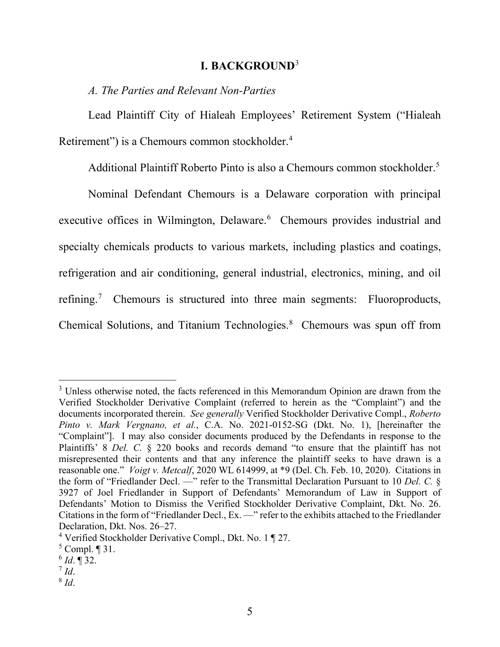#### **I. BACKGROUND**<sup>3</sup>

*A. The Parties and Relevant Non-Parties*

Lead Plaintiff City of Hialeah Employees' Retirement System ("Hialeah Retirement") is a Chemours common stockholder.<sup>4</sup>

Additional Plaintiff Roberto Pinto is also a Chemours common stockholder.<sup>5</sup>

Nominal Defendant Chemours is a Delaware corporation with principal executive offices in Wilmington, Delaware.<sup>6</sup> Chemours provides industrial and specialty chemicals products to various markets, including plastics and coatings, refrigeration and air conditioning, general industrial, electronics, mining, and oil refining.<sup>7</sup> Chemours is structured into three main segments: Fluoroproducts, Chemical Solutions, and Titanium Technologies.<sup>8</sup> Chemours was spun off from

<sup>&</sup>lt;sup>3</sup> Unless otherwise noted, the facts referenced in this Memorandum Opinion are drawn from the Verified Stockholder Derivative Complaint (referred to herein as the "Complaint") and the documents incorporated therein. *See generally* Verified Stockholder Derivative Compl., *Roberto Pinto v. Mark Vergnano, et al.*, C.A. No. 2021-0152-SG (Dkt. No. 1), [hereinafter the "Complaint"]. I may also consider documents produced by the Defendants in response to the Plaintiffs' 8 *Del. C.* § 220 books and records demand "to ensure that the plaintiff has not misrepresented their contents and that any inference the plaintiff seeks to have drawn is a reasonable one." *Voigt v. Metcalf*, 2020 WL 614999, at \*9 (Del. Ch. Feb. 10, 2020). Citations in the form of "Friedlander Decl. —" refer to the Transmittal Declaration Pursuant to 10 *Del. C.* § 3927 of Joel Friedlander in Support of Defendants' Memorandum of Law in Support of Defendants' Motion to Dismiss the Verified Stockholder Derivative Complaint, Dkt. No. 26. Citations in the form of "Friedlander Decl., Ex. —" refer to the exhibits attached to the Friedlander Declaration, Dkt. Nos. 26–27.

<sup>4</sup> Verified Stockholder Derivative Compl., Dkt. No. 1 ¶ 27.

 $5$  Compl.  $\P$  31.

 $^{6}$  *Id*.  $\sqrt{32}$ .

 $^7$  *Id.* 

<sup>8</sup> *Id*.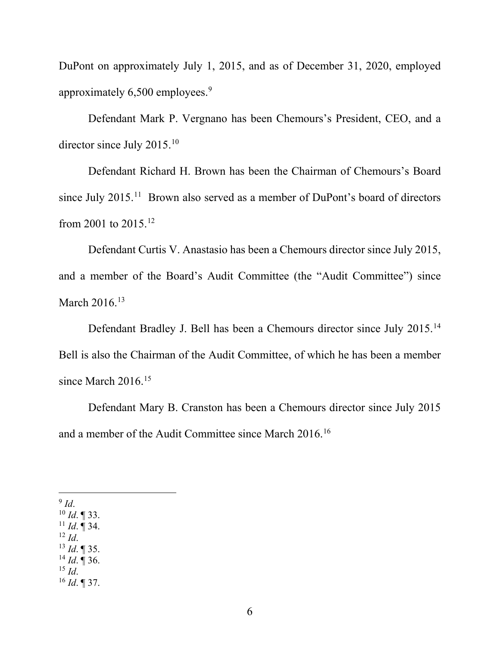DuPont on approximately July 1, 2015, and as of December 31, 2020, employed approximately 6,500 employees.<sup>9</sup>

Defendant Mark P. Vergnano has been Chemours's President, CEO, and a director since July 2015.10

Defendant Richard H. Brown has been the Chairman of Chemours's Board since July 2015.<sup>11</sup> Brown also served as a member of DuPont's board of directors from 2001 to 2015.12

Defendant Curtis V. Anastasio has been a Chemours director since July 2015, and a member of the Board's Audit Committee (the "Audit Committee") since March 2016.<sup>13</sup>

Defendant Bradley J. Bell has been a Chemours director since July 2015.<sup>14</sup> Bell is also the Chairman of the Audit Committee, of which he has been a member since March 2016.<sup>15</sup>

Defendant Mary B. Cranston has been a Chemours director since July 2015 and a member of the Audit Committee since March 2016.16

 $9$  *Id.* 

<sup>10</sup> *Id*. ¶ 33.

 $^{11}$  *Id.*  $\overline{9}$  34.  $12$  *Id.* 

- <sup>13</sup> *Id*. ¶ 35.
- $^{14}$  *Id.* ¶ 36.

<sup>15</sup> *Id*.

<sup>16</sup> *Id*. ¶ 37.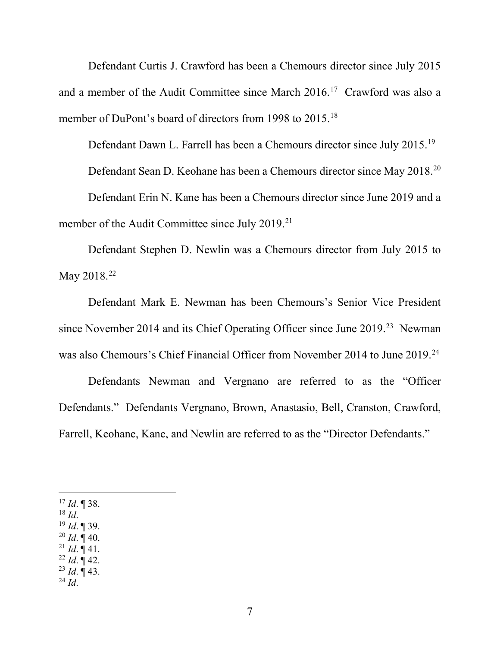Defendant Curtis J. Crawford has been a Chemours director since July 2015 and a member of the Audit Committee since March  $2016$ <sup>17</sup> Crawford was also a member of DuPont's board of directors from 1998 to 2015.<sup>18</sup>

Defendant Dawn L. Farrell has been a Chemours director since July 2015.19 Defendant Sean D. Keohane has been a Chemours director since May 2018.20 Defendant Erin N. Kane has been a Chemours director since June 2019 and a member of the Audit Committee since July 2019.<sup>21</sup>

Defendant Stephen D. Newlin was a Chemours director from July 2015 to May 2018.<sup>22</sup>

Defendant Mark E. Newman has been Chemours's Senior Vice President since November 2014 and its Chief Operating Officer since June 2019.<sup>23</sup> Newman was also Chemours's Chief Financial Officer from November 2014 to June 2019.24

Defendants Newman and Vergnano are referred to as the "Officer Defendants." Defendants Vergnano, Brown, Anastasio, Bell, Cranston, Crawford, Farrell, Keohane, Kane, and Newlin are referred to as the "Director Defendants."

 $17$  *Id*. ¶ 38.

<sup>18</sup> *Id*.

<sup>19</sup> *Id*. ¶ 39.

- $^{20}$  *Id*. ¶ 40.
- $^{21}$  *Id.*  $\frac{1}{4}$  41.
- $^{22}$  *Id*. ¶ 42.
- <sup>23</sup> *Id*. ¶ 43. <sup>24</sup> *Id*.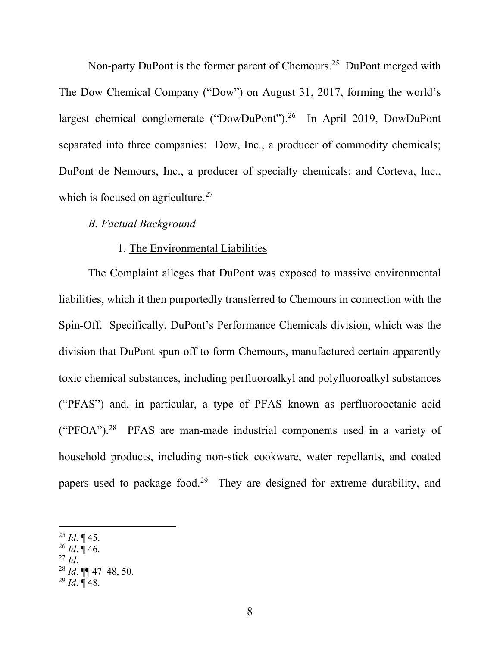Non-party DuPont is the former parent of Chemours.<sup>25</sup> DuPont merged with The Dow Chemical Company ("Dow") on August 31, 2017, forming the world's largest chemical conglomerate ("DowDuPont").<sup>26</sup> In April 2019, DowDuPont separated into three companies: Dow, Inc., a producer of commodity chemicals; DuPont de Nemours, Inc., a producer of specialty chemicals; and Corteva, Inc., which is focused on agriculture.<sup>27</sup>

### *B. Factual Background*

#### 1. The Environmental Liabilities

The Complaint alleges that DuPont was exposed to massive environmental liabilities, which it then purportedly transferred to Chemours in connection with the Spin-Off. Specifically, DuPont's Performance Chemicals division, which was the division that DuPont spun off to form Chemours, manufactured certain apparently toxic chemical substances, including perfluoroalkyl and polyfluoroalkyl substances ("PFAS") and, in particular, a type of PFAS known as perfluorooctanic acid ("PFOA"). $28$  PFAS are man-made industrial components used in a variety of household products, including non-stick cookware, water repellants, and coated papers used to package food.<sup>29</sup> They are designed for extreme durability, and

 $^{25}$  *Id.* ¶ 45.

 $^{26}$  *Id.*  $\overline{9}$  46.

<sup>27</sup> *Id*.

<sup>28</sup> *Id*. ¶¶ 47–48, 50.

<sup>29</sup> *Id*. ¶ 48.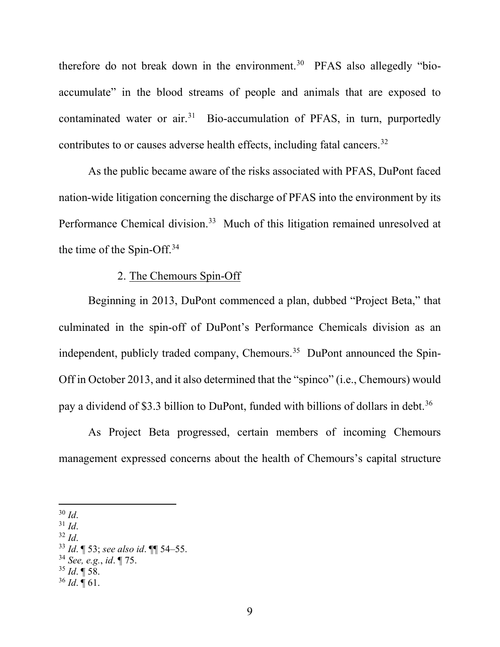therefore do not break down in the environment.<sup>30</sup> PFAS also allegedly "bioaccumulate" in the blood streams of people and animals that are exposed to contaminated water or  $air^{31}$  Bio-accumulation of PFAS, in turn, purportedly contributes to or causes adverse health effects, including fatal cancers.<sup>32</sup>

As the public became aware of the risks associated with PFAS, DuPont faced nation-wide litigation concerning the discharge of PFAS into the environment by its Performance Chemical division.<sup>33</sup> Much of this litigation remained unresolved at the time of the Spin-Off.34

# 2. The Chemours Spin-Off

Beginning in 2013, DuPont commenced a plan, dubbed "Project Beta," that culminated in the spin-off of DuPont's Performance Chemicals division as an independent, publicly traded company, Chemours.<sup>35</sup> DuPont announced the Spin-Off in October 2013, and it also determined that the "spinco" (i.e., Chemours) would pay a dividend of \$3.3 billion to DuPont, funded with billions of dollars in debt.<sup>36</sup>

As Project Beta progressed, certain members of incoming Chemours management expressed concerns about the health of Chemours's capital structure

- $31$  *Id.*
- <sup>32</sup> *Id*.

- <sup>34</sup> *See, e.g.*, *id*. ¶ 75.
- <sup>35</sup> *Id*. ¶ 58.
- $36$  *Id.*  $\overline{9}$  61.

<sup>30</sup> *Id*.

<sup>33</sup> *Id*. ¶ 53; *see also id*. ¶¶ 54–55.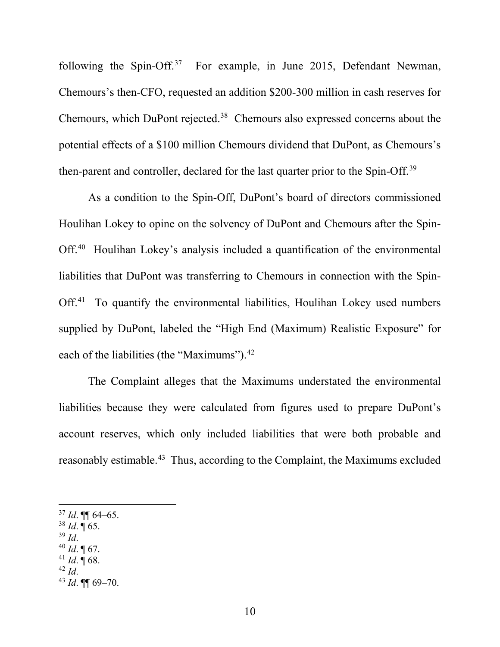following the Spin-Off.<sup>37</sup> For example, in June 2015, Defendant Newman, Chemours's then-CFO, requested an addition \$200-300 million in cash reserves for Chemours, which DuPont rejected. <sup>38</sup> Chemours also expressed concerns about the potential effects of a \$100 million Chemours dividend that DuPont, as Chemours's then-parent and controller, declared for the last quarter prior to the Spin-Off.39

As a condition to the Spin-Off, DuPont's board of directors commissioned Houlihan Lokey to opine on the solvency of DuPont and Chemours after the Spin-Off.<sup>40</sup> Houlihan Lokey's analysis included a quantification of the environmental liabilities that DuPont was transferring to Chemours in connection with the Spin-Off.<sup>41</sup> To quantify the environmental liabilities, Houlihan Lokey used numbers supplied by DuPont, labeled the "High End (Maximum) Realistic Exposure" for each of the liabilities (the "Maximums").<sup>42</sup>

The Complaint alleges that the Maximums understated the environmental liabilities because they were calculated from figures used to prepare DuPont's account reserves, which only included liabilities that were both probable and reasonably estimable.<sup>43</sup> Thus, according to the Complaint, the Maximums excluded

- <sup>38</sup> *Id*. ¶ 65.
- <sup>39</sup> *Id*.
- $40$  *Id*. 167.
- $41$  *Id.*  $\sqrt{68}$ . <sup>42</sup> *Id*.

<sup>37</sup> *Id*. ¶¶ 64–65.

<sup>43</sup> *Id*. ¶¶ 69–70.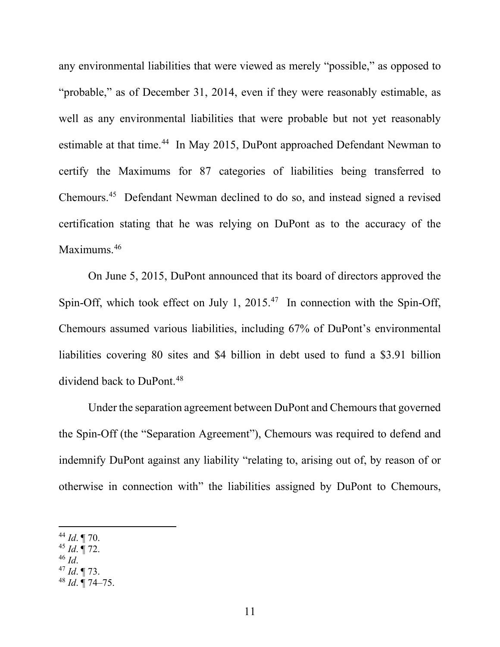any environmental liabilities that were viewed as merely "possible," as opposed to "probable," as of December 31, 2014, even if they were reasonably estimable, as well as any environmental liabilities that were probable but not yet reasonably estimable at that time.<sup>44</sup> In May 2015, DuPont approached Defendant Newman to certify the Maximums for 87 categories of liabilities being transferred to Chemours.45 Defendant Newman declined to do so, and instead signed a revised certification stating that he was relying on DuPont as to the accuracy of the Maximums.<sup>46</sup>

On June 5, 2015, DuPont announced that its board of directors approved the Spin-Off, which took effect on July 1, 2015.<sup>47</sup> In connection with the Spin-Off, Chemours assumed various liabilities, including 67% of DuPont's environmental liabilities covering 80 sites and \$4 billion in debt used to fund a \$3.91 billion dividend back to DuPont.<sup>48</sup>

Under the separation agreement between DuPont and Chemours that governed the Spin-Off (the "Separation Agreement"), Chemours was required to defend and indemnify DuPont against any liability "relating to, arising out of, by reason of or otherwise in connection with" the liabilities assigned by DuPont to Chemours,

- <sup>45</sup> *Id*. ¶ 72.
- <sup>46</sup> *Id*.
- <sup>47</sup> *Id*. ¶ 73.
- <sup>48</sup> *Id*. ¶ 74–75.

<sup>44</sup> *Id*. ¶ 70.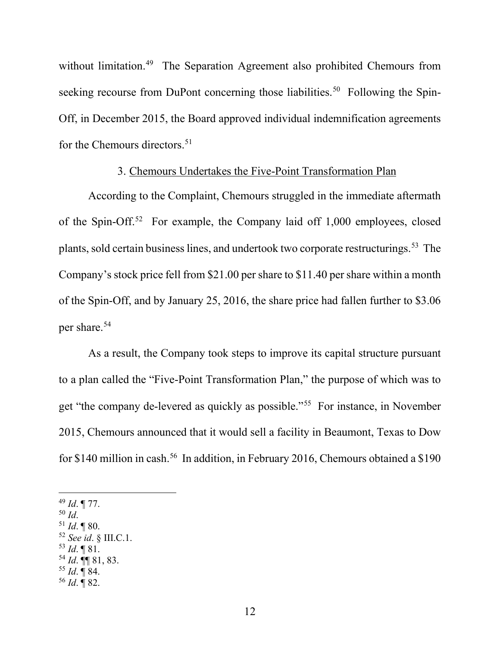without limitation.<sup>49</sup> The Separation Agreement also prohibited Chemours from seeking recourse from DuPont concerning those liabilities.<sup>50</sup> Following the Spin-Off, in December 2015, the Board approved individual indemnification agreements for the Chemours directors. 51

### 3. Chemours Undertakes the Five-Point Transformation Plan

According to the Complaint, Chemours struggled in the immediate aftermath of the Spin-Off.52 For example, the Company laid off 1,000 employees, closed plants, sold certain business lines, and undertook two corporate restructurings.53 The Company's stock price fell from \$21.00 per share to \$11.40 per share within a month of the Spin-Off, and by January 25, 2016, the share price had fallen further to \$3.06 per share.54

As a result, the Company took steps to improve its capital structure pursuant to a plan called the "Five-Point Transformation Plan," the purpose of which was to get "the company de-levered as quickly as possible."55 For instance, in November 2015, Chemours announced that it would sell a facility in Beaumont, Texas to Dow for \$140 million in cash.<sup>56</sup> In addition, in February 2016, Chemours obtained a \$190

<sup>49</sup> *Id*. ¶ 77.

- <sup>50</sup> *Id*.
- $51$  *Id.* ¶ 80.
- <sup>52</sup> *See id*. § III.C.1.
- $^{53}$  *Id.*  $\llbracket 81 \rrbracket$
- <sup>54</sup> *Id*. ¶¶ 81, 83.
- <sup>55</sup> *Id*. ¶ 84.
- <sup>56</sup> *Id*. ¶ 82.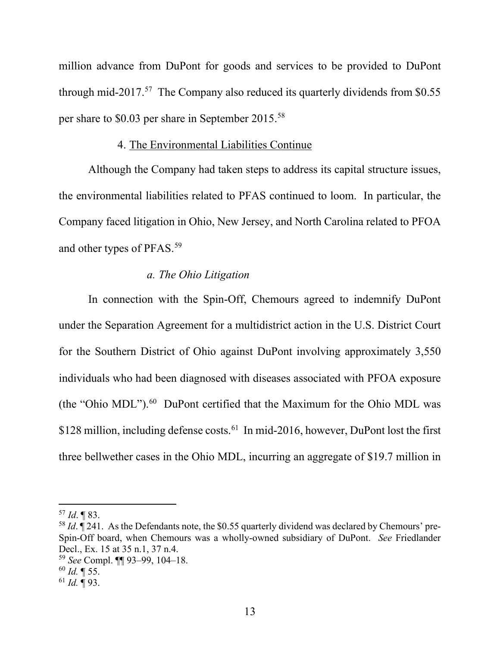million advance from DuPont for goods and services to be provided to DuPont through mid-2017.<sup>57</sup> The Company also reduced its quarterly dividends from \$0.55 per share to \$0.03 per share in September 2015.58

#### 4. The Environmental Liabilities Continue

Although the Company had taken steps to address its capital structure issues, the environmental liabilities related to PFAS continued to loom. In particular, the Company faced litigation in Ohio, New Jersey, and North Carolina related to PFOA and other types of PFAS.59

### *a. The Ohio Litigation*

In connection with the Spin-Off, Chemours agreed to indemnify DuPont under the Separation Agreement for a multidistrict action in the U.S. District Court for the Southern District of Ohio against DuPont involving approximately 3,550 individuals who had been diagnosed with diseases associated with PFOA exposure (the "Ohio MDL"). $60$  DuPont certified that the Maximum for the Ohio MDL was \$128 million, including defense costs.<sup>61</sup> In mid-2016, however, DuPont lost the first three bellwether cases in the Ohio MDL, incurring an aggregate of \$19.7 million in

<sup>57</sup> *Id*. ¶ 83.

<sup>&</sup>lt;sup>58</sup> *Id*.  $\overline{q}$  241. As the Defendants note, the \$0.55 quarterly dividend was declared by Chemours' pre-Spin-Off board, when Chemours was a wholly-owned subsidiary of DuPont. *See* Friedlander Decl., Ex. 15 at 35 n.1, 37 n.4.

<sup>59</sup> *See* Compl. ¶¶ 93–99, 104–18.

<sup>60</sup> *Id.* ¶ 55.

<sup>61</sup> *Id.* ¶ 93.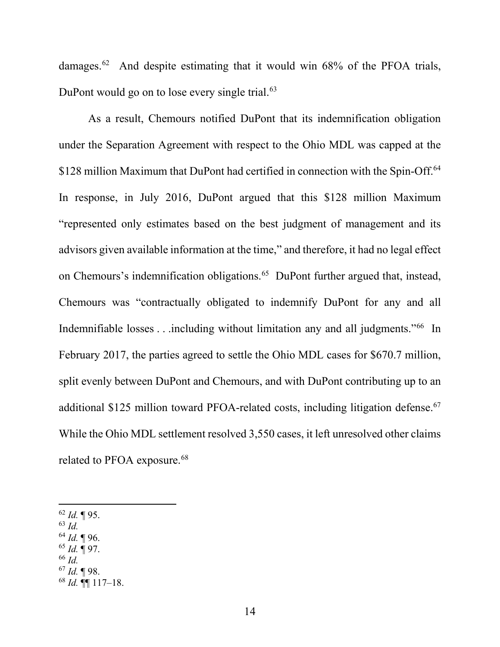damages.62 And despite estimating that it would win 68% of the PFOA trials, DuPont would go on to lose every single trial.<sup>63</sup>

As a result, Chemours notified DuPont that its indemnification obligation under the Separation Agreement with respect to the Ohio MDL was capped at the \$128 million Maximum that DuPont had certified in connection with the Spin-Off.<sup>64</sup> In response, in July 2016, DuPont argued that this \$128 million Maximum "represented only estimates based on the best judgment of management and its advisors given available information at the time," and therefore, it had no legal effect on Chemours's indemnification obligations.<sup>65</sup> DuPont further argued that, instead, Chemours was "contractually obligated to indemnify DuPont for any and all Indemnifiable losses . . .including without limitation any and all judgments."66 In February 2017, the parties agreed to settle the Ohio MDL cases for \$670.7 million, split evenly between DuPont and Chemours, and with DuPont contributing up to an additional \$125 million toward PFOA-related costs, including litigation defense.<sup>67</sup> While the Ohio MDL settlement resolved 3,550 cases, it left unresolved other claims related to PFOA exposure.<sup>68</sup>

- <sup>62</sup> *Id.* ¶ 95.
- <sup>63</sup> *Id.*
- <sup>64</sup> *Id.* ¶ 96.
- <sup>65</sup> *Id.* ¶ 97.
- <sup>66</sup> *Id.*
- <sup>67</sup> *Id.* ¶ 98.
- $^{68}$  *Id.*  $\overline{9}$  117–18.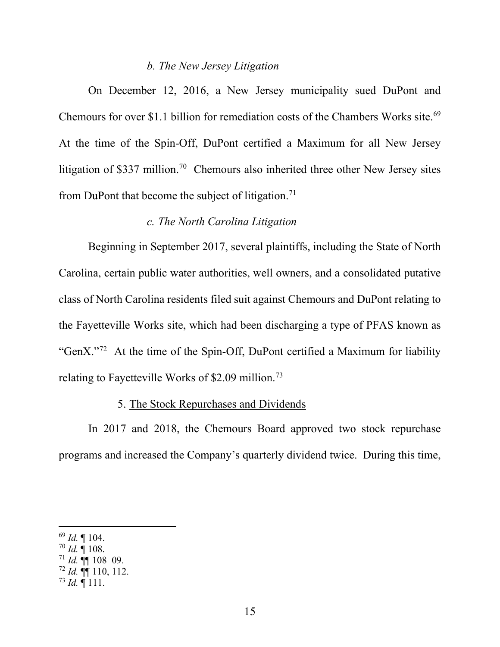#### *b. The New Jersey Litigation*

On December 12, 2016, a New Jersey municipality sued DuPont and Chemours for over \$1.1 billion for remediation costs of the Chambers Works site.<sup>69</sup> At the time of the Spin-Off, DuPont certified a Maximum for all New Jersey litigation of \$337 million.<sup>70</sup> Chemours also inherited three other New Jersey sites from DuPont that become the subject of litigation.<sup>71</sup>

### *c. The North Carolina Litigation*

Beginning in September 2017, several plaintiffs, including the State of North Carolina, certain public water authorities, well owners, and a consolidated putative class of North Carolina residents filed suit against Chemours and DuPont relating to the Fayetteville Works site, which had been discharging a type of PFAS known as "GenX."72 At the time of the Spin-Off, DuPont certified a Maximum for liability relating to Fayetteville Works of \$2.09 million.73

### 5. The Stock Repurchases and Dividends

In 2017 and 2018, the Chemours Board approved two stock repurchase programs and increased the Company's quarterly dividend twice. During this time,

<sup>69</sup> *Id.* ¶ 104.

 $70$  *Id.*  $\overline{9}$  108.

 $71$  *Id.* **¶** 108–09.

 $72$  *Id.*  $\P\P$  110, 112.

 $^{73}$  *Id.*  $\sqrt{\phantom{0}}$  111.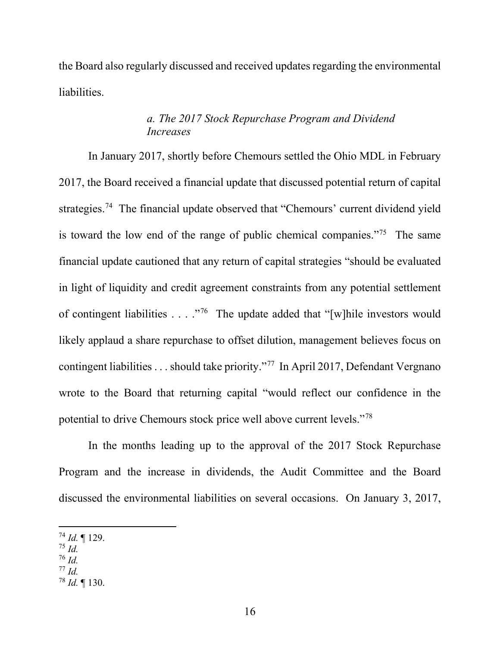the Board also regularly discussed and received updates regarding the environmental liabilities.

# *a. The 2017 Stock Repurchase Program and Dividend Increases*

In January 2017, shortly before Chemours settled the Ohio MDL in February 2017, the Board received a financial update that discussed potential return of capital strategies.<sup>74</sup> The financial update observed that "Chemours' current dividend yield is toward the low end of the range of public chemical companies."75 The same financial update cautioned that any return of capital strategies "should be evaluated in light of liquidity and credit agreement constraints from any potential settlement of contingent liabilities  $\dots$  ."<sup>76</sup> The update added that "[w]hile investors would likely applaud a share repurchase to offset dilution, management believes focus on contingent liabilities . . . should take priority."77 In April 2017, Defendant Vergnano wrote to the Board that returning capital "would reflect our confidence in the potential to drive Chemours stock price well above current levels."78

In the months leading up to the approval of the 2017 Stock Repurchase Program and the increase in dividends, the Audit Committee and the Board discussed the environmental liabilities on several occasions. On January 3, 2017,

- <sup>76</sup> *Id.*
- <sup>77</sup> *Id.*

<sup>74</sup> *Id.* ¶ 129.

<sup>75</sup> *Id.*

<sup>78</sup> *Id.* ¶ 130.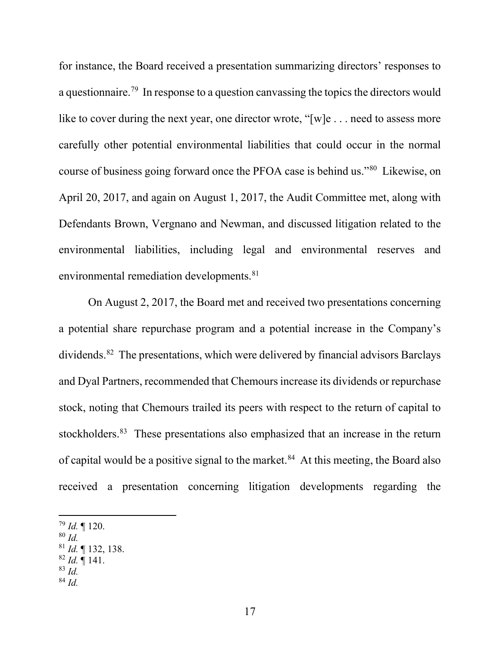for instance, the Board received a presentation summarizing directors' responses to a questionnaire.79 In response to a question canvassing the topics the directors would like to cover during the next year, one director wrote, "[w]e . . . need to assess more carefully other potential environmental liabilities that could occur in the normal course of business going forward once the PFOA case is behind us."80 Likewise, on April 20, 2017, and again on August 1, 2017, the Audit Committee met, along with Defendants Brown, Vergnano and Newman, and discussed litigation related to the environmental liabilities, including legal and environmental reserves and environmental remediation developments.<sup>81</sup>

On August 2, 2017, the Board met and received two presentations concerning a potential share repurchase program and a potential increase in the Company's dividends.82 The presentations, which were delivered by financial advisors Barclays and Dyal Partners, recommended that Chemours increase its dividends or repurchase stock, noting that Chemours trailed its peers with respect to the return of capital to stockholders.<sup>83</sup> These presentations also emphasized that an increase in the return of capital would be a positive signal to the market.<sup>84</sup> At this meeting, the Board also received a presentation concerning litigation developments regarding the

- <sup>80</sup> *Id.*
- <sup>81</sup> *Id.* ¶ 132, 138.
- <sup>82</sup> *Id.* ¶ 141.
- <sup>83</sup> *Id.* <sup>84</sup> *Id.*

<sup>79</sup> *Id.* ¶ 120.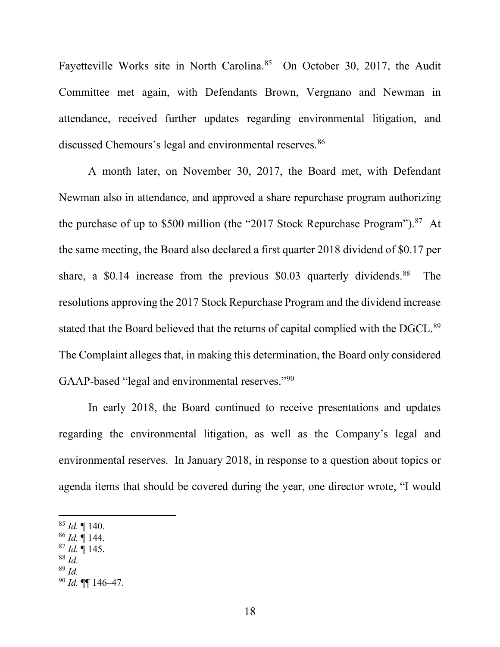Fayetteville Works site in North Carolina.<sup>85</sup> On October 30, 2017, the Audit Committee met again, with Defendants Brown, Vergnano and Newman in attendance, received further updates regarding environmental litigation, and discussed Chemours's legal and environmental reserves.<sup>86</sup>

A month later, on November 30, 2017, the Board met, with Defendant Newman also in attendance, and approved a share repurchase program authorizing the purchase of up to \$500 million (the "2017 Stock Repurchase Program"). $87$  At the same meeting, the Board also declared a first quarter 2018 dividend of \$0.17 per share, a \$0.14 increase from the previous \$0.03 quarterly dividends.<sup>88</sup> The resolutions approving the 2017 Stock Repurchase Program and the dividend increase stated that the Board believed that the returns of capital complied with the DGCL.<sup>89</sup> The Complaint alleges that, in making this determination, the Board only considered GAAP-based "legal and environmental reserves."90

In early 2018, the Board continued to receive presentations and updates regarding the environmental litigation, as well as the Company's legal and environmental reserves. In January 2018, in response to a question about topics or agenda items that should be covered during the year, one director wrote, "I would

- <sup>86</sup> *Id.* ¶ 144.
- <sup>87</sup> *Id.* ¶ 145.
- <sup>88</sup> *Id.*
- <sup>89</sup> *Id.*

<sup>85</sup> *Id.* ¶ 140.

<sup>90</sup> *Id.* ¶¶ 146–47.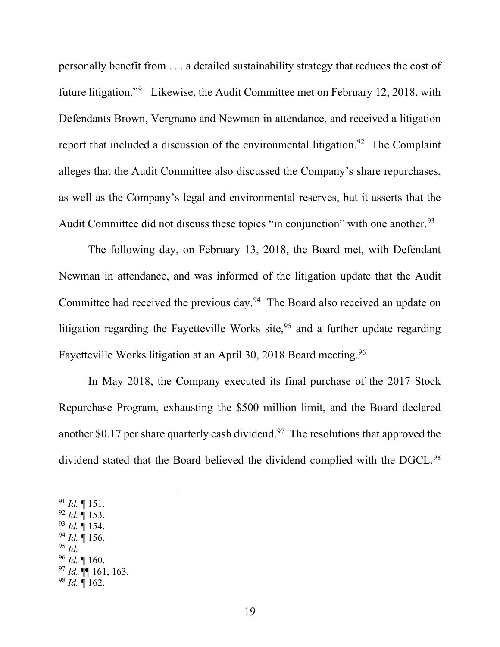personally benefit from . . . a detailed sustainability strategy that reduces the cost of future litigation."91 Likewise, the Audit Committee met on February 12, 2018, with Defendants Brown, Vergnano and Newman in attendance, and received a litigation report that included a discussion of the environmental litigation.<sup>92</sup> The Complaint alleges that the Audit Committee also discussed the Company's share repurchases, as well as the Company's legal and environmental reserves, but it asserts that the Audit Committee did not discuss these topics "in conjunction" with one another.<sup>93</sup>

The following day, on February 13, 2018, the Board met, with Defendant Newman in attendance, and was informed of the litigation update that the Audit Committee had received the previous day.<sup>94</sup> The Board also received an update on litigation regarding the Fayetteville Works site,  $95$  and a further update regarding Fayetteville Works litigation at an April 30, 2018 Board meeting.<sup>96</sup>

In May 2018, the Company executed its final purchase of the 2017 Stock Repurchase Program, exhausting the \$500 million limit, and the Board declared another \$0.17 per share quarterly cash dividend.<sup>97</sup> The resolutions that approved the dividend stated that the Board believed the dividend complied with the DGCL.<sup>98</sup>

<sup>91</sup> *Id.* ¶ 151.

- <sup>92</sup> *Id.* ¶ 153.
- <sup>93</sup> *Id.* ¶ 154. <sup>94</sup> *Id.* ¶ 156.
- <sup>95</sup> *Id.*
- <sup>96</sup> *Id.* ¶ 160.
- <sup>97</sup> *Id.* ¶¶ 161, 163.
- $98$  *Id.*  $\frac{1}{162}$ .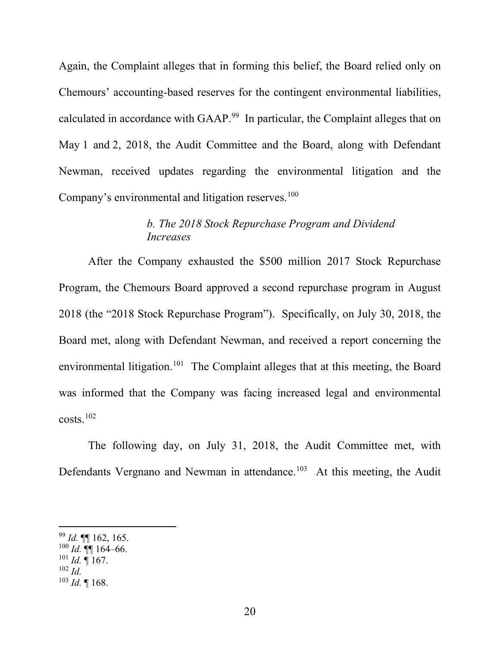Again, the Complaint alleges that in forming this belief, the Board relied only on Chemours' accounting-based reserves for the contingent environmental liabilities, calculated in accordance with GAAP.<sup>99</sup> In particular, the Complaint alleges that on May 1 and 2, 2018, the Audit Committee and the Board, along with Defendant Newman, received updates regarding the environmental litigation and the Company's environmental and litigation reserves.<sup>100</sup>

# *b. The 2018 Stock Repurchase Program and Dividend Increases*

After the Company exhausted the \$500 million 2017 Stock Repurchase Program, the Chemours Board approved a second repurchase program in August 2018 (the "2018 Stock Repurchase Program"). Specifically, on July 30, 2018, the Board met, along with Defendant Newman, and received a report concerning the environmental litigation.<sup>101</sup> The Complaint alleges that at this meeting, the Board was informed that the Company was facing increased legal and environmental costs.102

The following day, on July 31, 2018, the Audit Committee met, with Defendants Vergnano and Newman in attendance.<sup>103</sup> At this meeting, the Audit

<sup>102</sup> *Id.*

<sup>99</sup> *Id.* ¶¶ 162, 165.

 $^{100}$  *Id.*  $\P\P$  164–66.

 $^{101}$  *Id.* ¶ 167.

 $103$  *Id.* 168.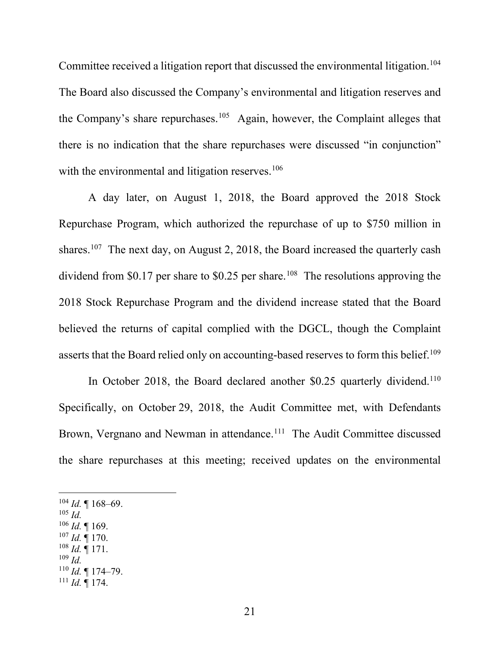Committee received a litigation report that discussed the environmental litigation.<sup>104</sup> The Board also discussed the Company's environmental and litigation reserves and the Company's share repurchases.<sup>105</sup> Again, however, the Complaint alleges that there is no indication that the share repurchases were discussed "in conjunction" with the environmental and litigation reserves.<sup>106</sup>

A day later, on August 1, 2018, the Board approved the 2018 Stock Repurchase Program, which authorized the repurchase of up to \$750 million in shares.<sup>107</sup> The next day, on August 2, 2018, the Board increased the quarterly cash dividend from \$0.17 per share to \$0.25 per share.<sup>108</sup> The resolutions approving the 2018 Stock Repurchase Program and the dividend increase stated that the Board believed the returns of capital complied with the DGCL, though the Complaint asserts that the Board relied only on accounting-based reserves to form this belief.<sup>109</sup>

In October 2018, the Board declared another \$0.25 quarterly dividend.<sup>110</sup> Specifically, on October 29, 2018, the Audit Committee met, with Defendants Brown, Vergnano and Newman in attendance.<sup>111</sup> The Audit Committee discussed the share repurchases at this meeting; received updates on the environmental

 $104$  *Id.* 168–69. <sup>105</sup> *Id.*  $106$  *Id.* 169.  $107$  *Id.* 170.  $108$  *Id.* 171. <sup>109</sup> *Id.* <sup>110</sup> *Id.* ¶ 174–79.  $^{111}$  *Id.*  $\overline{9}$  174.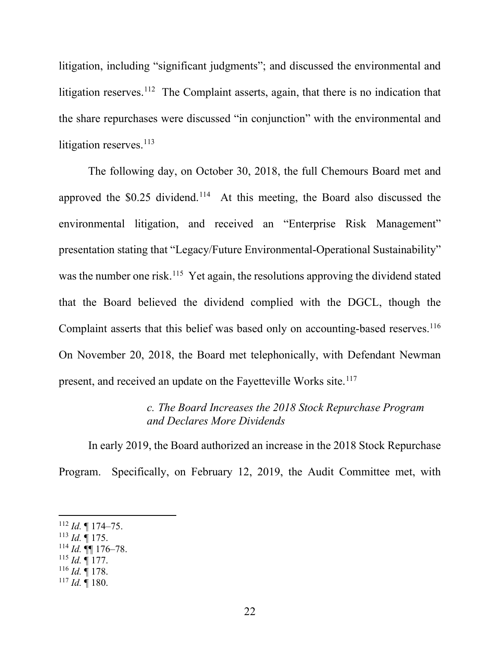litigation, including "significant judgments"; and discussed the environmental and litigation reserves.<sup>112</sup> The Complaint asserts, again, that there is no indication that the share repurchases were discussed "in conjunction" with the environmental and litigation reserves. $113$ 

The following day, on October 30, 2018, the full Chemours Board met and approved the  $$0.25$  dividend.<sup>114</sup> At this meeting, the Board also discussed the environmental litigation, and received an "Enterprise Risk Management" presentation stating that "Legacy/Future Environmental-Operational Sustainability" was the number one risk.<sup>115</sup> Yet again, the resolutions approving the dividend stated that the Board believed the dividend complied with the DGCL, though the Complaint asserts that this belief was based only on accounting-based reserves.<sup>116</sup> On November 20, 2018, the Board met telephonically, with Defendant Newman present, and received an update on the Fayetteville Works site.<sup>117</sup>

## *c. The Board Increases the 2018 Stock Repurchase Program and Declares More Dividends*

In early 2019, the Board authorized an increase in the 2018 Stock Repurchase Program. Specifically, on February 12, 2019, the Audit Committee met, with

- $113$  *Id.*  $\overline{9}$  175.
- $^{114}$  *Id.*  $\P\P$  176–78.
- <sup>115</sup> *Id.* ¶ 177.
- <sup>116</sup> *Id.* ¶ 178.
- $^{117}$  *Id.*  $\mathring{\mathbb{I}}$  180.

 $112$  *Id.* 174–75.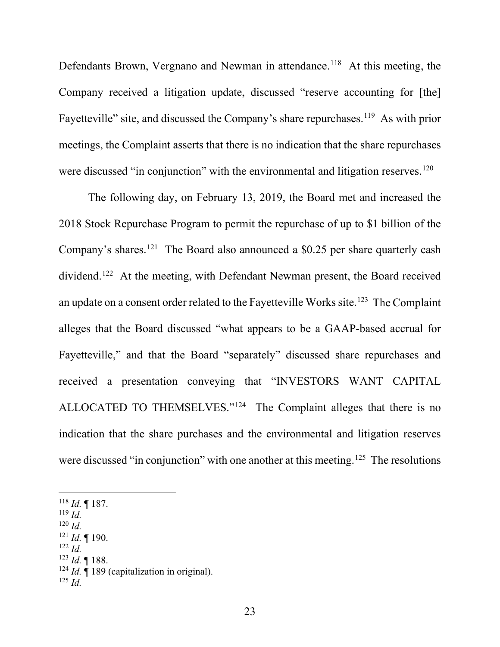Defendants Brown, Vergnano and Newman in attendance.<sup>118</sup> At this meeting, the Company received a litigation update, discussed "reserve accounting for [the] Fayetteville" site, and discussed the Company's share repurchases.<sup>119</sup> As with prior meetings, the Complaint asserts that there is no indication that the share repurchases were discussed "in conjunction" with the environmental and litigation reserves.<sup>120</sup>

The following day, on February 13, 2019, the Board met and increased the 2018 Stock Repurchase Program to permit the repurchase of up to \$1 billion of the Company's shares.<sup>121</sup> The Board also announced a \$0.25 per share quarterly cash dividend.<sup>122</sup> At the meeting, with Defendant Newman present, the Board received an update on a consent order related to the Fayetteville Works site.<sup>123</sup> The Complaint alleges that the Board discussed "what appears to be a GAAP-based accrual for Fayetteville," and that the Board "separately" discussed share repurchases and received a presentation conveying that "INVESTORS WANT CAPITAL ALLOCATED TO THEMSELVES."<sup>124</sup> The Complaint alleges that there is no indication that the share purchases and the environmental and litigation reserves were discussed "in conjunction" with one another at this meeting.<sup>125</sup> The resolutions

<sup>118</sup> *Id.* ¶ 187.

- <sup>119</sup> *Id.*
- <sup>120</sup> *Id.*
- <sup>121</sup> *Id.* ¶ 190.
- <sup>122</sup> *Id.*
- <sup>123</sup> *Id.* ¶ 188.
- <sup>124</sup> *Id.* ¶ 189 (capitalization in original).
- $125$  *Id.*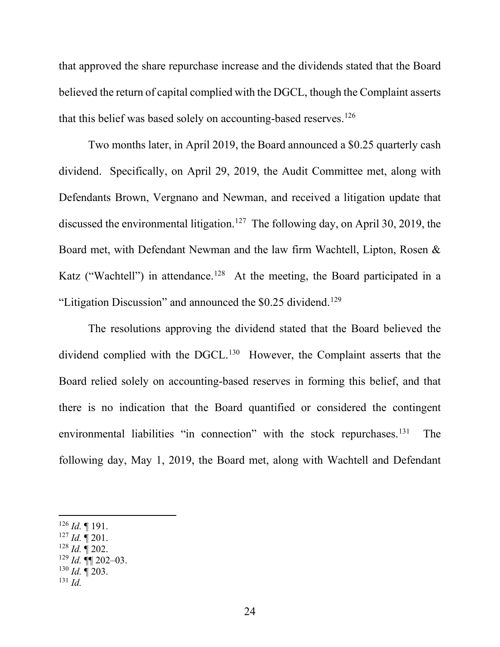that approved the share repurchase increase and the dividends stated that the Board believed the return of capital complied with the DGCL, though the Complaint asserts that this belief was based solely on accounting-based reserves.<sup>126</sup>

Two months later, in April 2019, the Board announced a \$0.25 quarterly cash dividend. Specifically, on April 29, 2019, the Audit Committee met, along with Defendants Brown, Vergnano and Newman, and received a litigation update that discussed the environmental litigation.<sup>127</sup> The following day, on April 30, 2019, the Board met, with Defendant Newman and the law firm Wachtell, Lipton, Rosen & Katz ("Wachtell") in attendance.<sup>128</sup> At the meeting, the Board participated in a "Litigation Discussion" and announced the  $$0.25$  dividend.<sup>129</sup>

The resolutions approving the dividend stated that the Board believed the dividend complied with the DGCL.<sup>130</sup> However, the Complaint asserts that the Board relied solely on accounting-based reserves in forming this belief, and that there is no indication that the Board quantified or considered the contingent environmental liabilities "in connection" with the stock repurchases.<sup>131</sup> The following day, May 1, 2019, the Board met, along with Wachtell and Defendant

- $127$  *Id.*  $\sqrt{\ }$  201.
- $128$  *Id.*  $\overline{9}$  202.
- $129$  *Id.* **¶** 202–03.
- <sup>130</sup> *Id.* ¶ 203.
- <sup>131</sup> *Id.*

 $126$  *Id.* 191.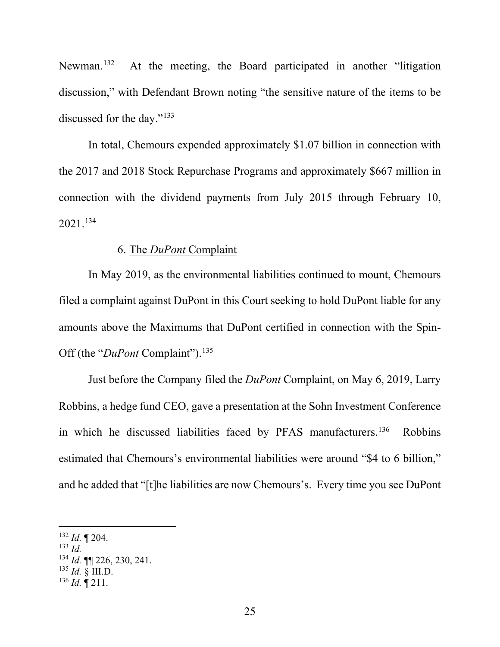Newman.<sup>132</sup> At the meeting, the Board participated in another "litigation" discussion," with Defendant Brown noting "the sensitive nature of the items to be discussed for the day."133

In total, Chemours expended approximately \$1.07 billion in connection with the 2017 and 2018 Stock Repurchase Programs and approximately \$667 million in connection with the dividend payments from July 2015 through February 10, 2021. 134

### 6. The *DuPont* Complaint

In May 2019, as the environmental liabilities continued to mount, Chemours filed a complaint against DuPont in this Court seeking to hold DuPont liable for any amounts above the Maximums that DuPont certified in connection with the Spin-Off (the "*DuPont* Complaint").<sup>135</sup>

Just before the Company filed the *DuPont* Complaint, on May 6, 2019, Larry Robbins, a hedge fund CEO, gave a presentation at the Sohn Investment Conference in which he discussed liabilities faced by PFAS manufacturers.<sup>136</sup> Robbins estimated that Chemours's environmental liabilities were around "\$4 to 6 billion," and he added that "[t]he liabilities are now Chemours's. Every time you see DuPont

<sup>132</sup> *Id.* ¶ 204.

<sup>133</sup> *Id.*

<sup>134</sup> *Id.* ¶¶ 226, 230, 241.

 $^{135}$  *Id.*  $\delta$  III.D.

 $^{136}$  *Id.*  $\stackrel{\circ}{\P}$  211.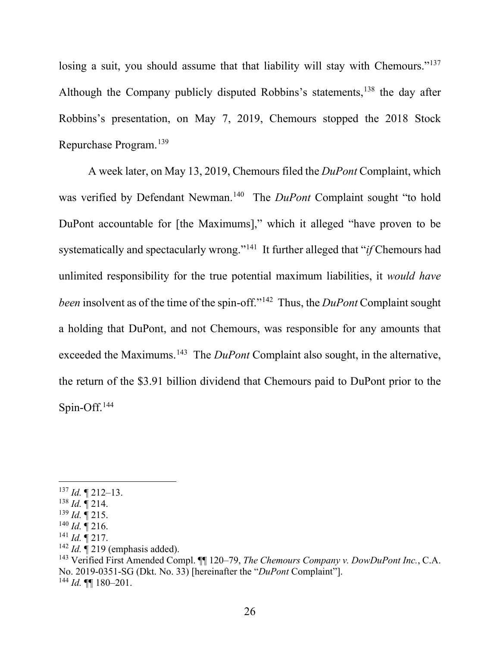losing a suit, you should assume that that liability will stay with Chemours."<sup>137</sup> Although the Company publicly disputed Robbins's statements,<sup>138</sup> the day after Robbins's presentation, on May 7, 2019, Chemours stopped the 2018 Stock Repurchase Program.139

A week later, on May 13, 2019, Chemours filed the *DuPont* Complaint, which was verified by Defendant Newman.<sup>140</sup> The *DuPont* Complaint sought "to hold DuPont accountable for [the Maximums]," which it alleged "have proven to be systematically and spectacularly wrong."141 It further alleged that "*if* Chemours had unlimited responsibility for the true potential maximum liabilities, it *would have been* insolvent as of the time of the spin-off."<sup>142</sup> Thus, the *DuPont* Complaint sought a holding that DuPont, and not Chemours, was responsible for any amounts that exceeded the Maximums.<sup>143</sup> The *DuPont* Complaint also sought, in the alternative, the return of the \$3.91 billion dividend that Chemours paid to DuPont prior to the Spin-Off.144

<sup>137</sup> *Id.* ¶ 212–13.

<sup>138</sup> *Id.* ¶ 214.

 $^{139}$  *Id.*  $\frac{1}{9}$  215.

 $^{140}$  *Id.*  $\mathbb{I}$  216.

 $^{141}$  *Id.*  $\frac{1}{12}$  217.

<sup>&</sup>lt;sup>142</sup> *Id.*  $\mathbf{I}^2$  219 (emphasis added).

<sup>143</sup> Verified First Amended Compl. ¶¶ 120–79, *The Chemours Company v. DowDuPont Inc.*, C.A. No. 2019-0351-SG (Dkt. No. 33) [hereinafter the "*DuPont* Complaint"].  $^{144}$  *Id.* **¶** 180–201.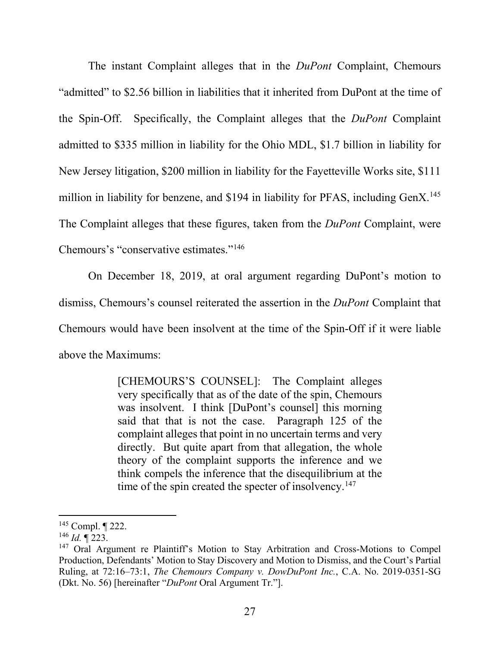The instant Complaint alleges that in the *DuPont* Complaint, Chemours "admitted" to \$2.56 billion in liabilities that it inherited from DuPont at the time of the Spin-Off. Specifically, the Complaint alleges that the *DuPont* Complaint admitted to \$335 million in liability for the Ohio MDL, \$1.7 billion in liability for New Jersey litigation, \$200 million in liability for the Fayetteville Works site, \$111 million in liability for benzene, and \$194 in liability for PFAS, including GenX.<sup>145</sup> The Complaint alleges that these figures, taken from the *DuPont* Complaint, were Chemours's "conservative estimates."146

On December 18, 2019, at oral argument regarding DuPont's motion to dismiss, Chemours's counsel reiterated the assertion in the *DuPont* Complaint that Chemours would have been insolvent at the time of the Spin-Off if it were liable above the Maximums:

> [CHEMOURS'S COUNSEL]: The Complaint alleges very specifically that as of the date of the spin, Chemours was insolvent. I think [DuPont's counsel] this morning said that that is not the case. Paragraph 125 of the complaint alleges that point in no uncertain terms and very directly. But quite apart from that allegation, the whole theory of the complaint supports the inference and we think compels the inference that the disequilibrium at the time of the spin created the specter of insolvency.<sup>147</sup>

<sup>145</sup> Compl. ¶ 222.

<sup>146</sup> *Id.* ¶ 223.

<sup>&</sup>lt;sup>147</sup> Oral Argument re Plaintiff's Motion to Stay Arbitration and Cross-Motions to Compel Production, Defendants' Motion to Stay Discovery and Motion to Dismiss, and the Court's Partial Ruling, at 72:16–73:1, *The Chemours Company v. DowDuPont Inc.*, C.A. No. 2019-0351-SG (Dkt. No. 56) [hereinafter "*DuPont* Oral Argument Tr."].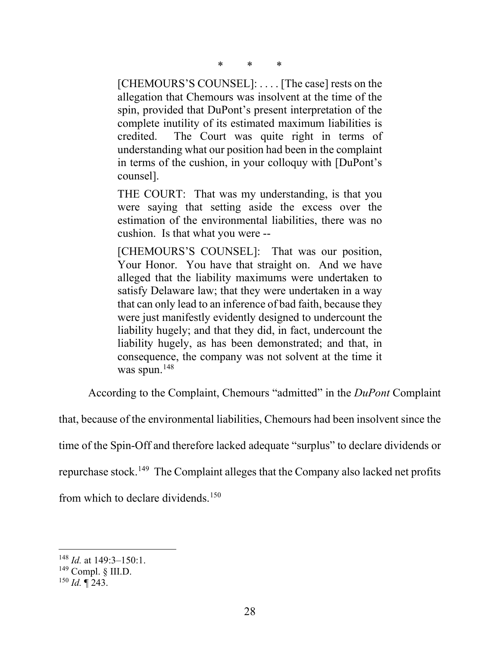\* \* \*

[CHEMOURS'S COUNSEL]: .... [The case] rests on the allegation that Chemours was insolvent at the time of the spin, provided that DuPont's present interpretation of the complete inutility of its estimated maximum liabilities is credited. The Court was quite right in terms of understanding what our position had been in the complaint in terms of the cushion, in your colloquy with [DuPont's counsel].

THE COURT: That was my understanding, is that you were saying that setting aside the excess over the estimation of the environmental liabilities, there was no cushion. Is that what you were --

[CHEMOURS'S COUNSEL]: That was our position, Your Honor. You have that straight on. And we have alleged that the liability maximums were undertaken to satisfy Delaware law; that they were undertaken in a way that can only lead to an inference of bad faith, because they were just manifestly evidently designed to undercount the liability hugely; and that they did, in fact, undercount the liability hugely, as has been demonstrated; and that, in consequence, the company was not solvent at the time it was spun.<sup>148</sup>

According to the Complaint, Chemours "admitted" in the *DuPont* Complaint

that, because of the environmental liabilities, Chemours had been insolvent since the

time of the Spin-Off and therefore lacked adequate "surplus" to declare dividends or

repurchase stock.149 The Complaint alleges that the Company also lacked net profits

from which to declare dividends.<sup>150</sup>

<sup>148</sup> *Id.* at 149:3–150:1.

 $149$  Compl. § III.D.

<sup>150</sup> *Id.* ¶ 243.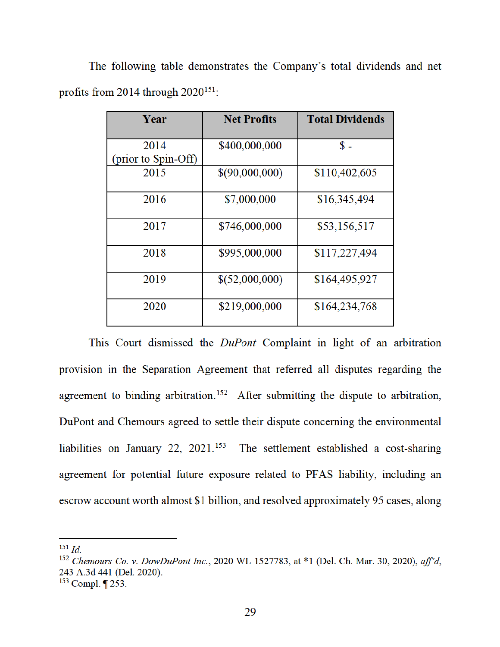The following table demonstrates the Company's total dividends and net profits from 2014 through  $2020^{151}$ .

| Year                | <b>Net Profits</b> | <b>Total Dividends</b> |
|---------------------|--------------------|------------------------|
| 2014                | \$400,000,000      | $\mathbb{S}$ -         |
| (prior to Spin-Off) |                    |                        |
| 2015                | \$(90,000,000)     | \$110,402,605          |
| 2016                | \$7,000,000        | \$16,345,494           |
| 2017                | \$746,000,000      | \$53,156,517           |
| 2018                | \$995,000,000      | \$117,227,494          |
| 2019                | \$(52,000,000)     | \$164,495,927          |
| 2020                | \$219,000,000      | \$164,234,768          |

This Court dismissed the *DuPont* Complaint in light of an arbitration provision in the Separation Agreement that referred all disputes regarding the agreement to binding arbitration.<sup>152</sup> After submitting the dispute to arbitration, DuPont and Chemours agreed to settle their dispute concerning the environmental liabilities on January 22, 2021.<sup>153</sup> The settlement established a cost-sharing agreement for potential future exposure related to PFAS liability, including an escrow account worth almost \$1 billion, and resolved approximately 95 cases, along

 $^{151}$  *Id.* 

<sup>&</sup>lt;sup>152</sup> Chemours Co. v. DowDuPont Inc., 2020 WL 1527783, at \*1 (Del. Ch. Mar. 30, 2020), aff'd, 243 A.3d 441 (Del. 2020).

 $153$  Compl.  $\P$  253.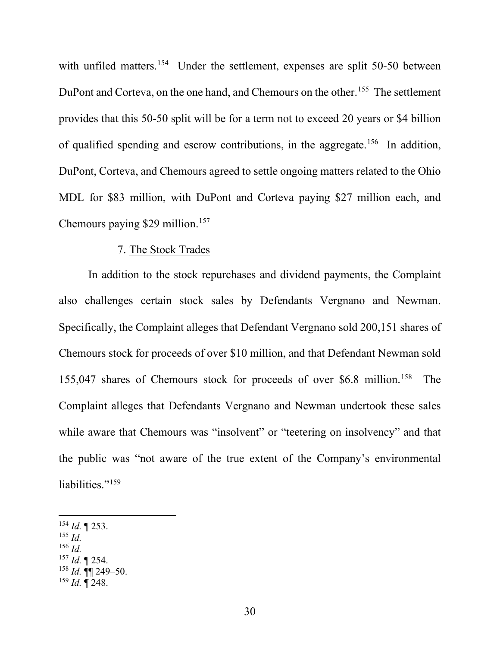with unfiled matters.<sup>154</sup> Under the settlement, expenses are split 50-50 between DuPont and Corteva, on the one hand, and Chemours on the other.<sup>155</sup> The settlement provides that this 50-50 split will be for a term not to exceed 20 years or \$4 billion of qualified spending and escrow contributions, in the aggregate.<sup>156</sup> In addition, DuPont, Corteva, and Chemours agreed to settle ongoing matters related to the Ohio MDL for \$83 million, with DuPont and Corteva paying \$27 million each, and Chemours paying \$29 million.<sup>157</sup>

### 7. The Stock Trades

In addition to the stock repurchases and dividend payments, the Complaint also challenges certain stock sales by Defendants Vergnano and Newman. Specifically, the Complaint alleges that Defendant Vergnano sold 200,151 shares of Chemours stock for proceeds of over \$10 million, and that Defendant Newman sold 155,047 shares of Chemours stock for proceeds of over \$6.8 million.<sup>158</sup> The Complaint alleges that Defendants Vergnano and Newman undertook these sales while aware that Chemours was "insolvent" or "teetering on insolvency" and that the public was "not aware of the true extent of the Company's environmental liabilities."<sup>159</sup>

- <sup>155</sup> *Id.*
- <sup>156</sup> *Id.*
- <sup>157</sup> *Id.* ¶ 254.

 $154$  *Id.* 1253.

<sup>158</sup> *Id.* ¶¶ 249–50.

 $^{159}$  *Id.*  $\sqrt{248}$ .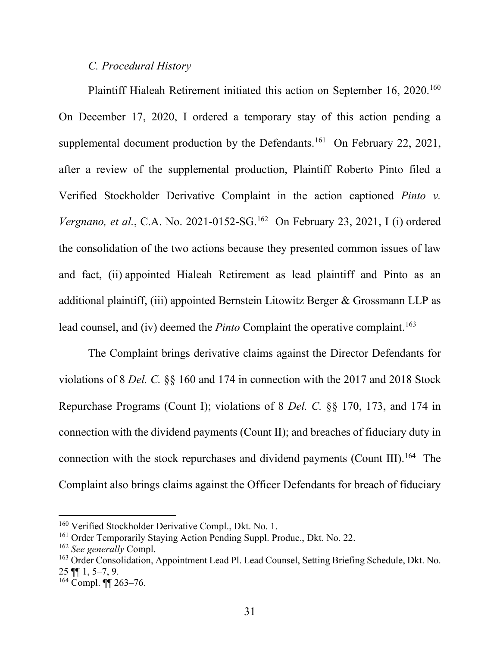### *C. Procedural History*

Plaintiff Hialeah Retirement initiated this action on September 16, 2020.<sup>160</sup> On December 17, 2020, I ordered a temporary stay of this action pending a supplemental document production by the Defendants.<sup>161</sup> On February 22, 2021, after a review of the supplemental production, Plaintiff Roberto Pinto filed a Verified Stockholder Derivative Complaint in the action captioned *Pinto v. Vergnano, et al., C.A. No.* 2021-0152-SG.<sup>162</sup> On February 23, 2021, I (i) ordered the consolidation of the two actions because they presented common issues of law and fact, (ii) appointed Hialeah Retirement as lead plaintiff and Pinto as an additional plaintiff, (iii) appointed Bernstein Litowitz Berger & Grossmann LLP as lead counsel, and (iv) deemed the *Pinto* Complaint the operative complaint.<sup>163</sup>

The Complaint brings derivative claims against the Director Defendants for violations of 8 *Del. C.* §§ 160 and 174 in connection with the 2017 and 2018 Stock Repurchase Programs (Count I); violations of 8 *Del. C.* §§ 170, 173, and 174 in connection with the dividend payments (Count II); and breaches of fiduciary duty in connection with the stock repurchases and dividend payments (Count III).<sup>164</sup> The Complaint also brings claims against the Officer Defendants for breach of fiduciary

<sup>&</sup>lt;sup>160</sup> Verified Stockholder Derivative Compl., Dkt. No. 1.

<sup>&</sup>lt;sup>161</sup> Order Temporarily Staying Action Pending Suppl. Produc., Dkt. No. 22.

<sup>162</sup> *See generally* Compl.

<sup>&</sup>lt;sup>163</sup> Order Consolidation, Appointment Lead Pl. Lead Counsel, Setting Briefing Schedule, Dkt. No.  $25$  ¶ 1, 5–7, 9.

<sup>164</sup> Compl. ¶¶ 263–76.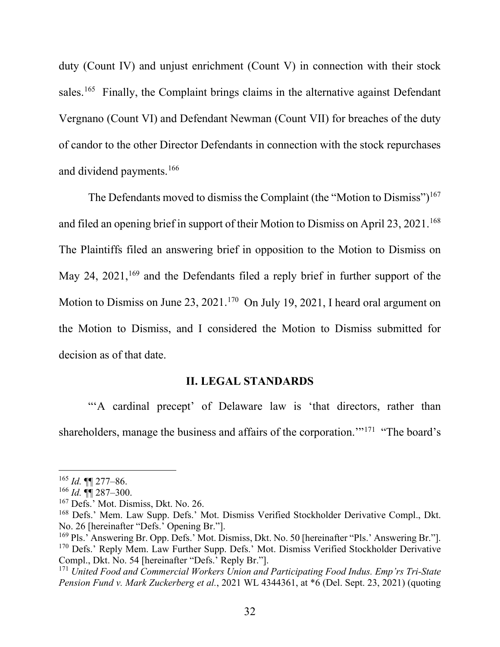duty (Count IV) and unjust enrichment (Count V) in connection with their stock sales.<sup>165</sup> Finally, the Complaint brings claims in the alternative against Defendant Vergnano (Count VI) and Defendant Newman (Count VII) for breaches of the duty of candor to the other Director Defendants in connection with the stock repurchases and dividend payments.166

The Defendants moved to dismiss the Complaint (the "Motion to Dismiss")<sup>167</sup> and filed an opening brief in support of their Motion to Dismiss on April 23, 2021.<sup>168</sup> The Plaintiffs filed an answering brief in opposition to the Motion to Dismiss on May 24,  $2021$ ,  $^{169}$  and the Defendants filed a reply brief in further support of the Motion to Dismiss on June 23, 2021.<sup>170</sup> On July 19, 2021, I heard oral argument on the Motion to Dismiss, and I considered the Motion to Dismiss submitted for decision as of that date.

### **II. LEGAL STANDARDS**

"'A cardinal precept' of Delaware law is 'that directors, rather than shareholders, manage the business and affairs of the corporation."<sup>171</sup> "The board's

<sup>165</sup> *Id.* ¶¶ 277–86.

<sup>166</sup> *Id.* ¶¶ 287–300.

<sup>167</sup> Defs.' Mot. Dismiss, Dkt. No. 26.

<sup>168</sup> Defs.' Mem. Law Supp. Defs.' Mot. Dismiss Verified Stockholder Derivative Compl., Dkt. No. 26 [hereinafter "Defs.' Opening Br."].

<sup>&</sup>lt;sup>169</sup> Pls.' Answering Br. Opp. Defs.' Mot. Dismiss, Dkt. No. 50 [hereinafter "Pls.' Answering Br."]. <sup>170</sup> Defs.' Reply Mem. Law Further Supp. Defs.' Mot. Dismiss Verified Stockholder Derivative Compl., Dkt. No. 54 [hereinafter "Defs.' Reply Br."].

<sup>171</sup> *United Food and Commercial Workers Union and Participating Food Indus. Emp'rs Tri-State Pension Fund v. Mark Zuckerberg et al.*, 2021 WL 4344361, at \*6 (Del. Sept. 23, 2021) (quoting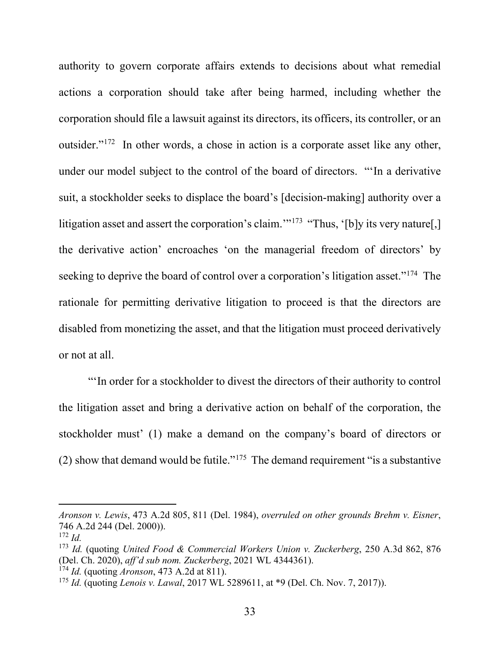authority to govern corporate affairs extends to decisions about what remedial actions a corporation should take after being harmed, including whether the corporation should file a lawsuit against its directors, its officers, its controller, or an outsider."172 In other words, a chose in action is a corporate asset like any other, under our model subject to the control of the board of directors. "'In a derivative suit, a stockholder seeks to displace the board's [decision-making] authority over a litigation asset and assert the corporation's claim."<sup>173</sup> "Thus, '[b]y its very nature[,] the derivative action' encroaches 'on the managerial freedom of directors' by seeking to deprive the board of control over a corporation's litigation asset."<sup>174</sup> The rationale for permitting derivative litigation to proceed is that the directors are disabled from monetizing the asset, and that the litigation must proceed derivatively or not at all.

"'In order for a stockholder to divest the directors of their authority to control the litigation asset and bring a derivative action on behalf of the corporation, the stockholder must' (1) make a demand on the company's board of directors or (2) show that demand would be futile."<sup>175</sup> The demand requirement "is a substantive"

*Aronson v. Lewis*, 473 A.2d 805, 811 (Del. 1984), *overruled on other grounds Brehm v. Eisner*, 746 A.2d 244 (Del. 2000)).

<sup>172</sup> *Id.*

<sup>173</sup> *Id.* (quoting *United Food & Commercial Workers Union v. Zuckerberg*, 250 A.3d 862, 876 (Del. Ch. 2020), *aff'd sub nom. Zuckerberg*, 2021 WL 4344361).

<sup>174</sup> *Id.* (quoting *Aronson*, 473 A.2d at 811).

<sup>175</sup> *Id.* (quoting *Lenois v. Lawal*, 2017 WL 5289611, at \*9 (Del. Ch. Nov. 7, 2017)).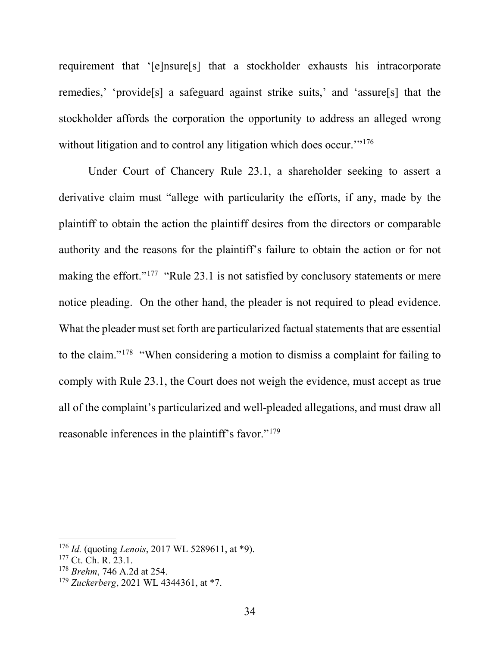requirement that '[e]nsure[s] that a stockholder exhausts his intracorporate remedies,' 'provide[s] a safeguard against strike suits,' and 'assure[s] that the stockholder affords the corporation the opportunity to address an alleged wrong without litigation and to control any litigation which does occur."<sup>176</sup>

Under Court of Chancery Rule 23.1, a shareholder seeking to assert a derivative claim must "allege with particularity the efforts, if any, made by the plaintiff to obtain the action the plaintiff desires from the directors or comparable authority and the reasons for the plaintiff's failure to obtain the action or for not making the effort."<sup>177</sup> "Rule 23.1 is not satisfied by conclusory statements or mere notice pleading. On the other hand, the pleader is not required to plead evidence. What the pleader must set forth are particularized factual statements that are essential to the claim."178 "When considering a motion to dismiss a complaint for failing to comply with Rule 23.1, the Court does not weigh the evidence, must accept as true all of the complaint's particularized and well-pleaded allegations, and must draw all reasonable inferences in the plaintiff's favor."<sup>179</sup>

<sup>176</sup> *Id.* (quoting *Lenois*, 2017 WL 5289611, at \*9).

<sup>&</sup>lt;sup>177</sup> Ct. Ch. R. 23.1.

<sup>178</sup> *Brehm*, 746 A.2d at 254.

<sup>179</sup> *Zuckerberg*, 2021 WL 4344361, at \*7.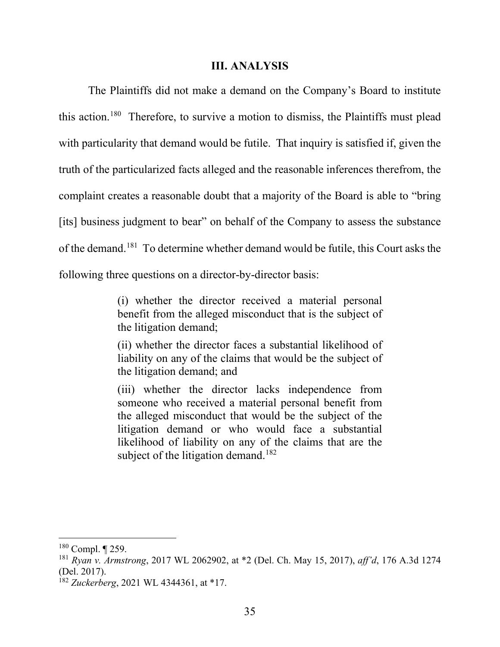#### **III. ANALYSIS**

The Plaintiffs did not make a demand on the Company's Board to institute this action.180 Therefore, to survive a motion to dismiss, the Plaintiffs must plead with particularity that demand would be futile. That inquiry is satisfied if, given the truth of the particularized facts alleged and the reasonable inferences therefrom, the complaint creates a reasonable doubt that a majority of the Board is able to "bring [its] business judgment to bear" on behalf of the Company to assess the substance of the demand.181 To determine whether demand would be futile, this Court asks the following three questions on a director-by-director basis:

> (i) whether the director received a material personal benefit from the alleged misconduct that is the subject of the litigation demand;

> (ii) whether the director faces a substantial likelihood of liability on any of the claims that would be the subject of the litigation demand; and

> (iii) whether the director lacks independence from someone who received a material personal benefit from the alleged misconduct that would be the subject of the litigation demand or who would face a substantial likelihood of liability on any of the claims that are the subject of the litigation demand.<sup>182</sup>

 $180$  Compl.  $\P$  259.

<sup>181</sup> *Ryan v. Armstrong*, 2017 WL 2062902, at \*2 (Del. Ch. May 15, 2017), *aff'd*, 176 A.3d 1274 (Del. 2017).

<sup>182</sup> *Zuckerberg*, 2021 WL 4344361, at \*17.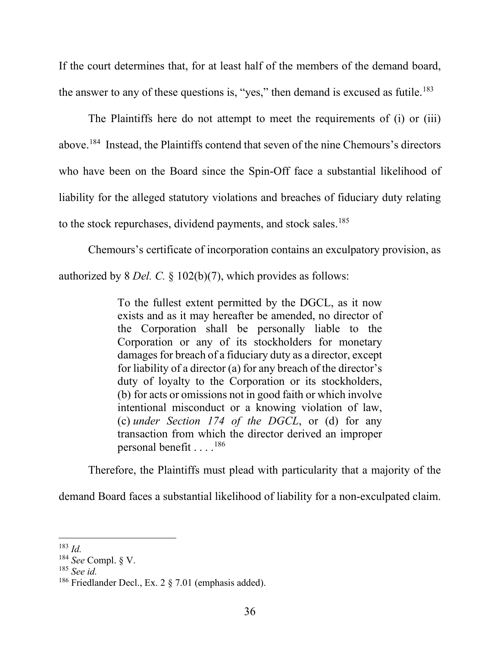If the court determines that, for at least half of the members of the demand board, the answer to any of these questions is, "yes," then demand is excused as futile.<sup>183</sup>

The Plaintiffs here do not attempt to meet the requirements of (i) or (iii) above.184 Instead, the Plaintiffs contend that seven of the nine Chemours's directors who have been on the Board since the Spin-Off face a substantial likelihood of liability for the alleged statutory violations and breaches of fiduciary duty relating to the stock repurchases, dividend payments, and stock sales. 185

Chemours's certificate of incorporation contains an exculpatory provision, as authorized by 8 *Del. C.* § 102(b)(7), which provides as follows:

> To the fullest extent permitted by the DGCL, as it now exists and as it may hereafter be amended, no director of the Corporation shall be personally liable to the Corporation or any of its stockholders for monetary damages for breach of a fiduciary duty as a director, except for liability of a director (a) for any breach of the director's duty of loyalty to the Corporation or its stockholders, (b) for acts or omissions not in good faith or which involve intentional misconduct or a knowing violation of law, (c) *under Section 174 of the DGCL*, or (d) for any transaction from which the director derived an improper personal benefit . . . .186

Therefore, the Plaintiffs must plead with particularity that a majority of the

demand Board faces a substantial likelihood of liability for a non-exculpated claim.

<sup>183</sup> *Id.*

<sup>184</sup> *See* Compl. § V.

<sup>185</sup> *See id.*

<sup>186</sup> Friedlander Decl., Ex. 2 § 7.01 (emphasis added).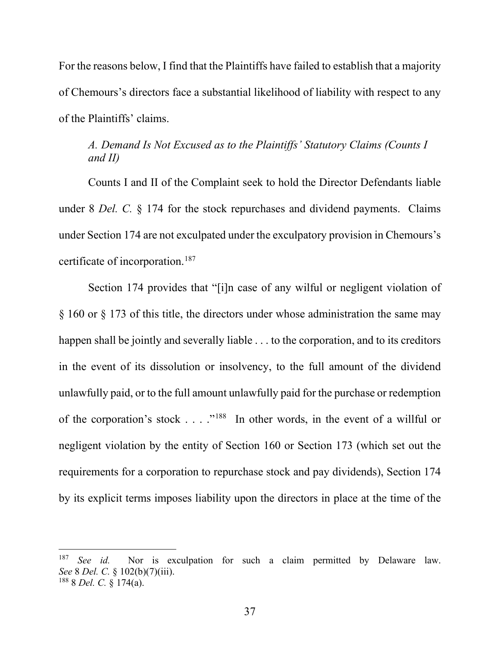For the reasons below, I find that the Plaintiffs have failed to establish that a majority of Chemours's directors face a substantial likelihood of liability with respect to any of the Plaintiffs' claims.

# *A. Demand Is Not Excused as to the Plaintiffs' Statutory Claims (Counts I and II)*

Counts I and II of the Complaint seek to hold the Director Defendants liable under 8 *Del. C.* § 174 for the stock repurchases and dividend payments. Claims under Section 174 are not exculpated under the exculpatory provision in Chemours's certificate of incorporation.187

Section 174 provides that "[i]n case of any wilful or negligent violation of § 160 or § 173 of this title, the directors under whose administration the same may happen shall be jointly and severally liable . . . to the corporation, and to its creditors in the event of its dissolution or insolvency, to the full amount of the dividend unlawfully paid, or to the full amount unlawfully paid for the purchase or redemption of the corporation's stock . . . ."<sup>188</sup> In other words, in the event of a willful or negligent violation by the entity of Section 160 or Section 173 (which set out the requirements for a corporation to repurchase stock and pay dividends), Section 174 by its explicit terms imposes liability upon the directors in place at the time of the

<sup>187</sup> *See id.* Nor is exculpation for such a claim permitted by Delaware law. *See* 8 *Del. C.* § 102(b)(7)(iii). <sup>188</sup> 8 *Del. C.* § 174(a).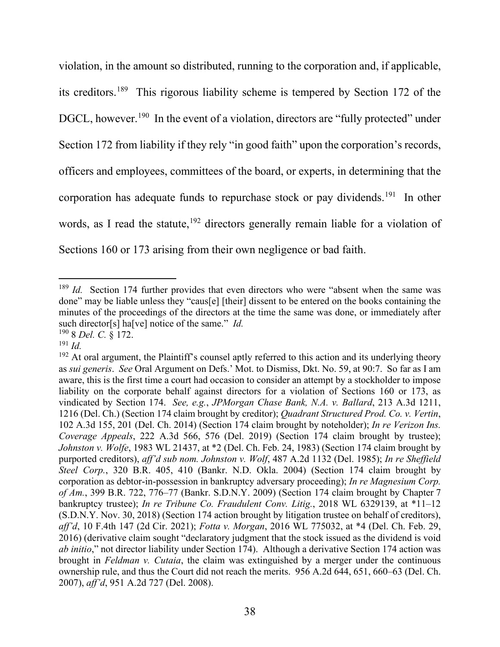violation, in the amount so distributed, running to the corporation and, if applicable, its creditors. 189 This rigorous liability scheme is tempered by Section 172 of the DGCL, however.<sup>190</sup> In the event of a violation, directors are "fully protected" under Section 172 from liability if they rely "in good faith" upon the corporation's records, officers and employees, committees of the board, or experts, in determining that the corporation has adequate funds to repurchase stock or pay dividends.<sup>191</sup> In other words, as I read the statute,<sup>192</sup> directors generally remain liable for a violation of Sections 160 or 173 arising from their own negligence or bad faith.

<sup>&</sup>lt;sup>189</sup> *Id.* Section 174 further provides that even directors who were "absent when the same was done" may be liable unless they "caus[e] [their] dissent to be entered on the books containing the minutes of the proceedings of the directors at the time the same was done, or immediately after such director[s] ha[ve] notice of the same." *Id.*

<sup>190</sup> 8 *Del. C.* § 172.

<sup>191</sup> *Id.*

 $192$  At oral argument, the Plaintiff's counsel aptly referred to this action and its underlying theory as *sui generis*. *See* Oral Argument on Defs.' Mot. to Dismiss, Dkt. No. 59, at 90:7. So far as I am aware, this is the first time a court had occasion to consider an attempt by a stockholder to impose liability on the corporate behalf against directors for a violation of Sections 160 or 173, as vindicated by Section 174. *See, e.g.*, *JPMorgan Chase Bank, N.A. v. Ballard*, 213 A.3d 1211, 1216 (Del. Ch.) (Section 174 claim brought by creditor); *Quadrant Structured Prod. Co. v. Vertin*, 102 A.3d 155, 201 (Del. Ch. 2014) (Section 174 claim brought by noteholder); *In re Verizon Ins. Coverage Appeals*, 222 A.3d 566, 576 (Del. 2019) (Section 174 claim brought by trustee); *Johnston v. Wolfe*, 1983 WL 21437, at \*2 (Del. Ch. Feb. 24, 1983) (Section 174 claim brought by purported creditors), *aff'd sub nom. Johnston v. Wolf*, 487 A.2d 1132 (Del. 1985); *In re Sheffield Steel Corp.*, 320 B.R. 405, 410 (Bankr. N.D. Okla. 2004) (Section 174 claim brought by corporation as debtor-in-possession in bankruptcy adversary proceeding); *In re Magnesium Corp. of Am.*, 399 B.R. 722, 776–77 (Bankr. S.D.N.Y. 2009) (Section 174 claim brought by Chapter 7 bankruptcy trustee); *In re Tribune Co. Fraudulent Conv. Litig.*, 2018 WL 6329139, at \*11–12 (S.D.N.Y. Nov. 30, 2018) (Section 174 action brought by litigation trustee on behalf of creditors), *aff'd*, 10 F.4th 147 (2d Cir. 2021); *Fotta v. Morgan*, 2016 WL 775032, at \*4 (Del. Ch. Feb. 29, 2016) (derivative claim sought "declaratory judgment that the stock issued as the dividend is void *ab initio*," not director liability under Section 174). Although a derivative Section 174 action was brought in *Feldman v. Cutaia*, the claim was extinguished by a merger under the continuous ownership rule, and thus the Court did not reach the merits. 956 A.2d 644, 651, 660–63 (Del. Ch. 2007), *aff'd*, 951 A.2d 727 (Del. 2008).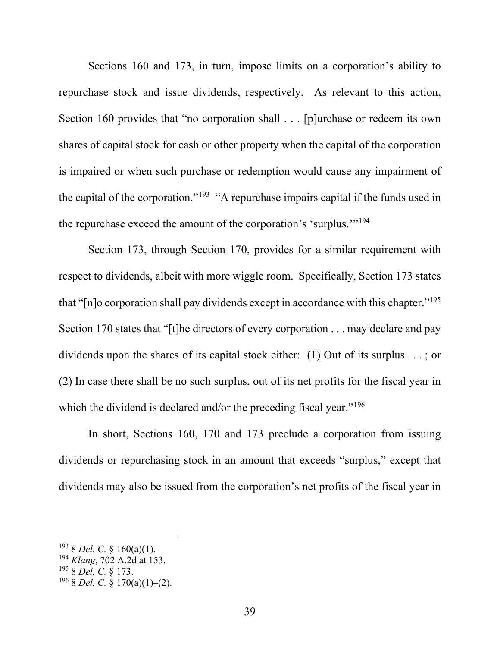Sections 160 and 173, in turn, impose limits on a corporation's ability to repurchase stock and issue dividends, respectively. As relevant to this action, Section 160 provides that "no corporation shall . . . [p]urchase or redeem its own shares of capital stock for cash or other property when the capital of the corporation is impaired or when such purchase or redemption would cause any impairment of the capital of the corporation."<sup>193</sup> "A repurchase impairs capital if the funds used in the repurchase exceed the amount of the corporation's 'surplus.'"194

Section 173, through Section 170, provides for a similar requirement with respect to dividends, albeit with more wiggle room. Specifically, Section 173 states that "[n]o corporation shall pay dividends except in accordance with this chapter."195 Section 170 states that "[t]he directors of every corporation . . . may declare and pay dividends upon the shares of its capital stock either: (1) Out of its surplus . . . ; or (2) In case there shall be no such surplus, out of its net profits for the fiscal year in which the dividend is declared and/or the preceding fiscal year."<sup>196</sup>

In short, Sections 160, 170 and 173 preclude a corporation from issuing dividends or repurchasing stock in an amount that exceeds "surplus," except that dividends may also be issued from the corporation's net profits of the fiscal year in

<sup>193</sup> 8 *Del. C.* § 160(a)(1).

<sup>194</sup> *Klang*, 702 A.2d at 153.

<sup>195</sup> 8 *Del. C.* § 173.

<sup>196</sup> 8 *Del. C.* § 170(a)(1)–(2).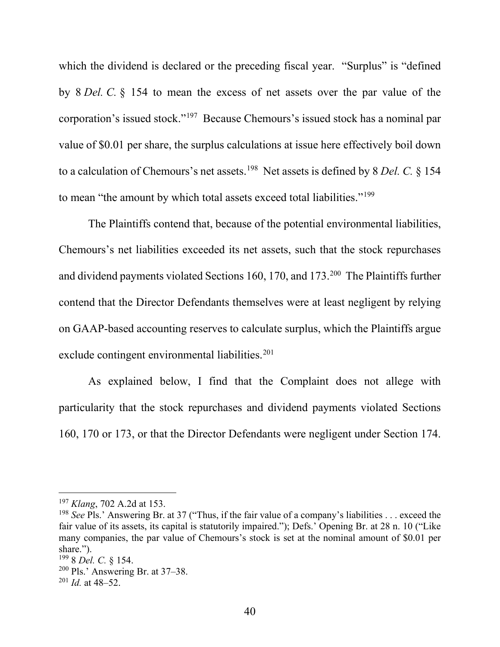which the dividend is declared or the preceding fiscal year. "Surplus" is "defined by 8 *Del. C.* § 154 to mean the excess of net assets over the par value of the corporation's issued stock."197 Because Chemours's issued stock has a nominal par value of \$0.01 per share, the surplus calculations at issue here effectively boil down to a calculation of Chemours's net assets.198 Net assets is defined by 8 *Del. C.* § 154 to mean "the amount by which total assets exceed total liabilities."<sup>199</sup>

The Plaintiffs contend that, because of the potential environmental liabilities, Chemours's net liabilities exceeded its net assets, such that the stock repurchases and dividend payments violated Sections 160, 170, and 173.200 The Plaintiffs further contend that the Director Defendants themselves were at least negligent by relying on GAAP-based accounting reserves to calculate surplus, which the Plaintiffs argue exclude contingent environmental liabilities.<sup>201</sup>

As explained below, I find that the Complaint does not allege with particularity that the stock repurchases and dividend payments violated Sections 160, 170 or 173, or that the Director Defendants were negligent under Section 174.

<sup>197</sup> *Klang*, 702 A.2d at 153.

<sup>198</sup> *See* Pls.' Answering Br. at 37 ("Thus, if the fair value of a company's liabilities . . . exceed the fair value of its assets, its capital is statutorily impaired."); Defs.' Opening Br. at 28 n. 10 ("Like many companies, the par value of Chemours's stock is set at the nominal amount of \$0.01 per share.").

<sup>199</sup> 8 *Del. C.* § 154.

 $200$  Pls.' Answering Br. at 37–38.

 $^{201}$  *Id.* at 48–52.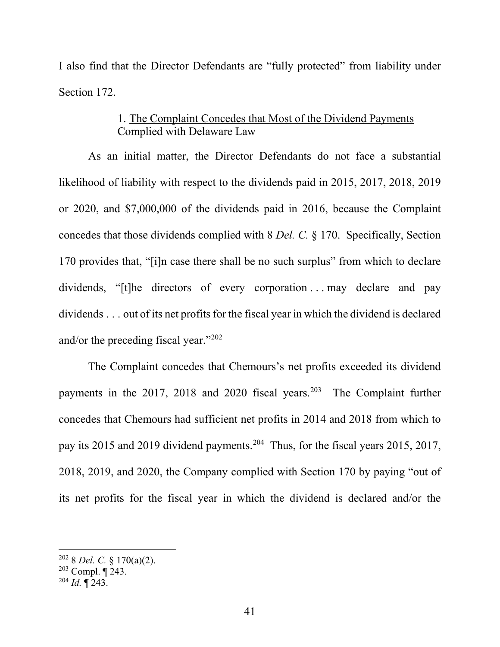I also find that the Director Defendants are "fully protected" from liability under Section 172.

# 1. The Complaint Concedes that Most of the Dividend Payments Complied with Delaware Law

As an initial matter, the Director Defendants do not face a substantial likelihood of liability with respect to the dividends paid in 2015, 2017, 2018, 2019 or 2020, and \$7,000,000 of the dividends paid in 2016, because the Complaint concedes that those dividends complied with 8 *Del. C.* § 170. Specifically, Section 170 provides that, "[i]n case there shall be no such surplus" from which to declare dividends, "[t]he directors of every corporation ... may declare and pay dividends . . . out of its net profits for the fiscal year in which the dividend is declared and/or the preceding fiscal year."202

The Complaint concedes that Chemours's net profits exceeded its dividend payments in the 2017, 2018 and 2020 fiscal years.<sup>203</sup> The Complaint further concedes that Chemours had sufficient net profits in 2014 and 2018 from which to pay its 2015 and 2019 dividend payments.204 Thus, for the fiscal years 2015, 2017, 2018, 2019, and 2020, the Company complied with Section 170 by paying "out of its net profits for the fiscal year in which the dividend is declared and/or the

<sup>202</sup> 8 *Del. C.* § 170(a)(2).

 $203$  Compl.  $\P$  243.

<sup>204</sup> *Id.* ¶ 243.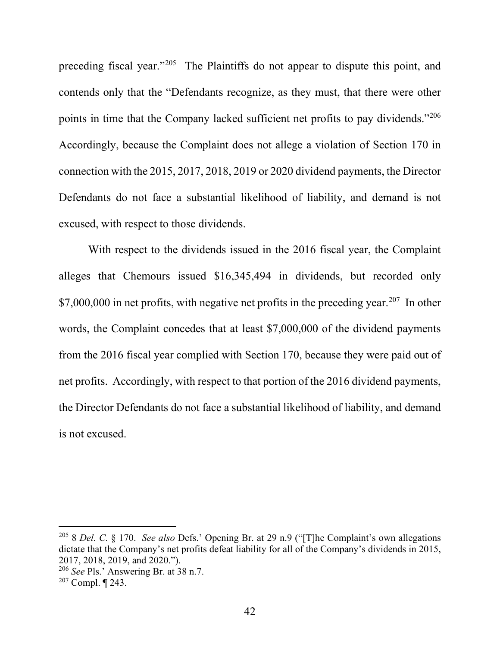preceding fiscal year."<sup>205</sup> The Plaintiffs do not appear to dispute this point, and contends only that the "Defendants recognize, as they must, that there were other points in time that the Company lacked sufficient net profits to pay dividends."206 Accordingly, because the Complaint does not allege a violation of Section 170 in connection with the 2015, 2017, 2018, 2019 or 2020 dividend payments, the Director Defendants do not face a substantial likelihood of liability, and demand is not excused, with respect to those dividends.

With respect to the dividends issued in the 2016 fiscal year, the Complaint alleges that Chemours issued \$16,345,494 in dividends, but recorded only \$7,000,000 in net profits, with negative net profits in the preceding year.<sup>207</sup> In other words, the Complaint concedes that at least \$7,000,000 of the dividend payments from the 2016 fiscal year complied with Section 170, because they were paid out of net profits. Accordingly, with respect to that portion of the 2016 dividend payments, the Director Defendants do not face a substantial likelihood of liability, and demand is not excused.

<sup>205</sup> 8 *Del. C.* § 170. *See also* Defs.' Opening Br. at 29 n.9 ("[T]he Complaint's own allegations dictate that the Company's net profits defeat liability for all of the Company's dividends in 2015, 2017, 2018, 2019, and 2020.").

<sup>206</sup> *See* Pls.' Answering Br. at 38 n.7.

 $207$  Compl.  $\P$  243.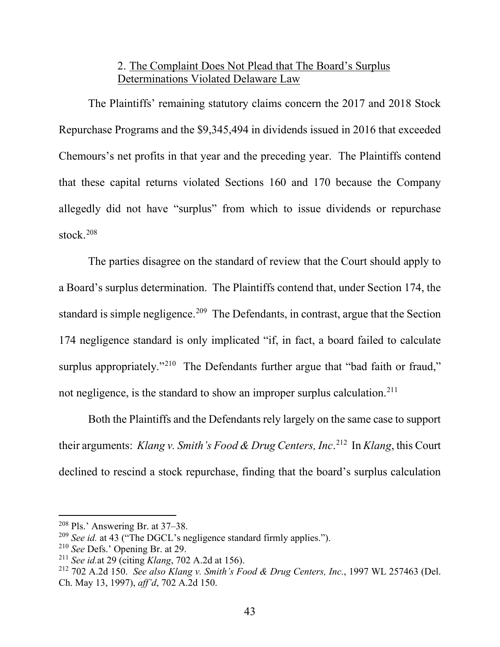# 2. The Complaint Does Not Plead that The Board's Surplus Determinations Violated Delaware Law

The Plaintiffs' remaining statutory claims concern the 2017 and 2018 Stock Repurchase Programs and the \$9,345,494 in dividends issued in 2016 that exceeded Chemours's net profits in that year and the preceding year. The Plaintiffs contend that these capital returns violated Sections 160 and 170 because the Company allegedly did not have "surplus" from which to issue dividends or repurchase stock. 208

The parties disagree on the standard of review that the Court should apply to a Board's surplus determination. The Plaintiffs contend that, under Section 174, the standard is simple negligence.<sup>209</sup> The Defendants, in contrast, argue that the Section 174 negligence standard is only implicated "if, in fact, a board failed to calculate surplus appropriately."<sup>210</sup> The Defendants further argue that "bad faith or fraud," not negligence, is the standard to show an improper surplus calculation.211

Both the Plaintiffs and the Defendants rely largely on the same case to support their arguments: *Klang v. Smith's Food & Drug Centers, Inc*. 212 In *Klang*, this Court declined to rescind a stock repurchase, finding that the board's surplus calculation

<sup>208</sup> Pls.' Answering Br. at 37–38.

<sup>209</sup> *See id.* at 43 ("The DGCL's negligence standard firmly applies.").

<sup>210</sup> *See* Defs.' Opening Br. at 29.

<sup>211</sup> *See id.*at 29 (citing *Klang*, 702 A.2d at 156).

<sup>212</sup> 702 A.2d 150. *See also Klang v. Smith's Food & Drug Centers, Inc.*, 1997 WL 257463 (Del. Ch. May 13, 1997), *aff'd*, 702 A.2d 150.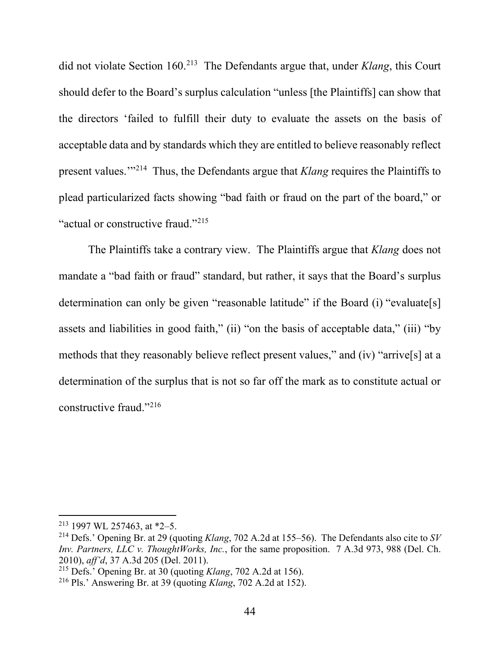did not violate Section 160.213 The Defendants argue that, under *Klang*, this Court should defer to the Board's surplus calculation "unless [the Plaintiffs] can show that the directors 'failed to fulfill their duty to evaluate the assets on the basis of acceptable data and by standards which they are entitled to believe reasonably reflect present values.'"214 Thus, the Defendants argue that *Klang* requires the Plaintiffs to plead particularized facts showing "bad faith or fraud on the part of the board," or "actual or constructive fraud."<sup>215</sup>

The Plaintiffs take a contrary view. The Plaintiffs argue that *Klang* does not mandate a "bad faith or fraud" standard, but rather, it says that the Board's surplus determination can only be given "reasonable latitude" if the Board (i) "evaluate[s] assets and liabilities in good faith," (ii) "on the basis of acceptable data," (iii) "by methods that they reasonably believe reflect present values," and (iv) "arrive[s] at a determination of the surplus that is not so far off the mark as to constitute actual or constructive fraud."216

<sup>213</sup> 1997 WL 257463, at \*2–5.

<sup>214</sup> Defs.' Opening Br. at 29 (quoting *Klang*, 702 A.2d at 155–56). The Defendants also cite to *SV Inv. Partners, LLC v. ThoughtWorks, Inc.*, for the same proposition. 7 A.3d 973, 988 (Del. Ch. 2010), *aff'd*, 37 A.3d 205 (Del. 2011).

<sup>215</sup> Defs.' Opening Br. at 30 (quoting *Klang*, 702 A.2d at 156).

<sup>216</sup> Pls.' Answering Br. at 39 (quoting *Klang*, 702 A.2d at 152).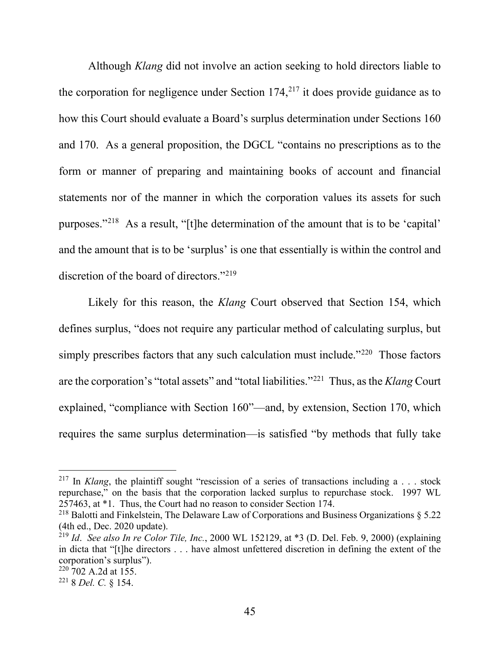Although *Klang* did not involve an action seeking to hold directors liable to the corporation for negligence under Section  $174<sub>1</sub><sup>217</sup>$  it does provide guidance as to how this Court should evaluate a Board's surplus determination under Sections 160 and 170. As a general proposition, the DGCL "contains no prescriptions as to the form or manner of preparing and maintaining books of account and financial statements nor of the manner in which the corporation values its assets for such purposes."218 As a result, "[t]he determination of the amount that is to be 'capital' and the amount that is to be 'surplus' is one that essentially is within the control and discretion of the board of directors."219

Likely for this reason, the *Klang* Court observed that Section 154, which defines surplus, "does not require any particular method of calculating surplus, but simply prescribes factors that any such calculation must include."<sup>220</sup> Those factors are the corporation's "total assets" and "total liabilities."221 Thus, as the *Klang* Court explained, "compliance with Section 160"—and, by extension, Section 170, which requires the same surplus determination—is satisfied "by methods that fully take

<sup>&</sup>lt;sup>217</sup> In *Klang*, the plaintiff sought "rescission of a series of transactions including a . . . stock repurchase," on the basis that the corporation lacked surplus to repurchase stock. 1997 WL 257463, at \*1. Thus, the Court had no reason to consider Section 174.

<sup>&</sup>lt;sup>218</sup> Balotti and Finkelstein, The Delaware Law of Corporations and Business Organizations  $\S$  5.22 (4th ed., Dec. 2020 update).

<sup>219</sup> *Id*. *See also In re Color Tile, Inc.*, 2000 WL 152129, at \*3 (D. Del. Feb. 9, 2000) (explaining in dicta that "[t]he directors . . . have almost unfettered discretion in defining the extent of the corporation's surplus").

 $220\,702$  A.2d at 155.

<sup>221</sup> 8 *Del. C.* § 154.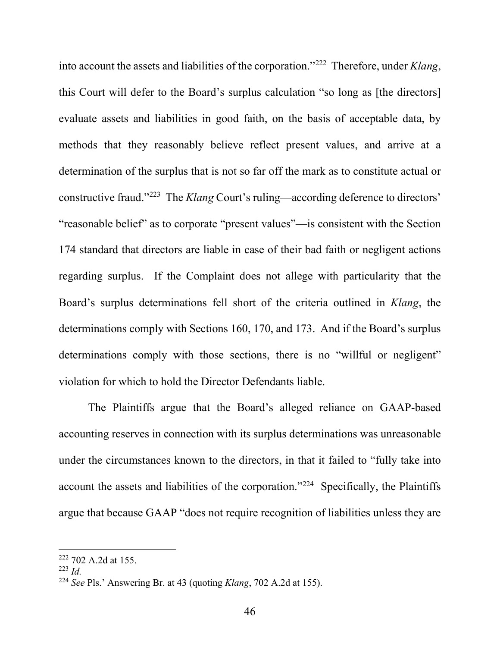into account the assets and liabilities of the corporation."222 Therefore, under *Klang*, this Court will defer to the Board's surplus calculation "so long as [the directors] evaluate assets and liabilities in good faith, on the basis of acceptable data, by methods that they reasonably believe reflect present values, and arrive at a determination of the surplus that is not so far off the mark as to constitute actual or constructive fraud."223 The *Klang* Court's ruling—according deference to directors' "reasonable belief" as to corporate "present values"—is consistent with the Section 174 standard that directors are liable in case of their bad faith or negligent actions regarding surplus. If the Complaint does not allege with particularity that the Board's surplus determinations fell short of the criteria outlined in *Klang*, the determinations comply with Sections 160, 170, and 173. And if the Board's surplus determinations comply with those sections, there is no "willful or negligent" violation for which to hold the Director Defendants liable.

The Plaintiffs argue that the Board's alleged reliance on GAAP-based accounting reserves in connection with its surplus determinations was unreasonable under the circumstances known to the directors, in that it failed to "fully take into account the assets and liabilities of the corporation."<sup>224</sup> Specifically, the Plaintiffs argue that because GAAP "does not require recognition of liabilities unless they are

<sup>222</sup> 702 A.2d at 155.

<sup>223</sup> *Id.*

<sup>224</sup> *See* Pls.' Answering Br. at 43 (quoting *Klang*, 702 A.2d at 155).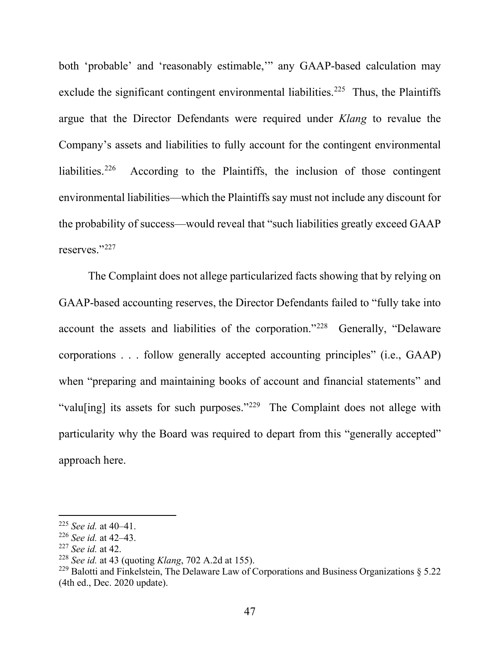both 'probable' and 'reasonably estimable,'" any GAAP-based calculation may exclude the significant contingent environmental liabilities.<sup>225</sup> Thus, the Plaintiffs argue that the Director Defendants were required under *Klang* to revalue the Company's assets and liabilities to fully account for the contingent environmental liabilities.226 According to the Plaintiffs, the inclusion of those contingent environmental liabilities—which the Plaintiffs say must not include any discount for the probability of success—would reveal that "such liabilities greatly exceed GAAP reserves."<sup>227</sup>

The Complaint does not allege particularized facts showing that by relying on GAAP-based accounting reserves, the Director Defendants failed to "fully take into account the assets and liabilities of the corporation."228 Generally, "Delaware corporations . . . follow generally accepted accounting principles" (i.e., GAAP) when "preparing and maintaining books of account and financial statements" and "valu[ing] its assets for such purposes."<sup>229</sup> The Complaint does not allege with particularity why the Board was required to depart from this "generally accepted" approach here.

<sup>225</sup> *See id.* at 40–41.

<sup>226</sup> *See id.* at 42–43.

<sup>227</sup> *See id.* at 42.

<sup>228</sup> *See id.* at 43 (quoting *Klang*, 702 A.2d at 155).

<sup>&</sup>lt;sup>229</sup> Balotti and Finkelstein, The Delaware Law of Corporations and Business Organizations  $\delta$  5.22 (4th ed., Dec. 2020 update).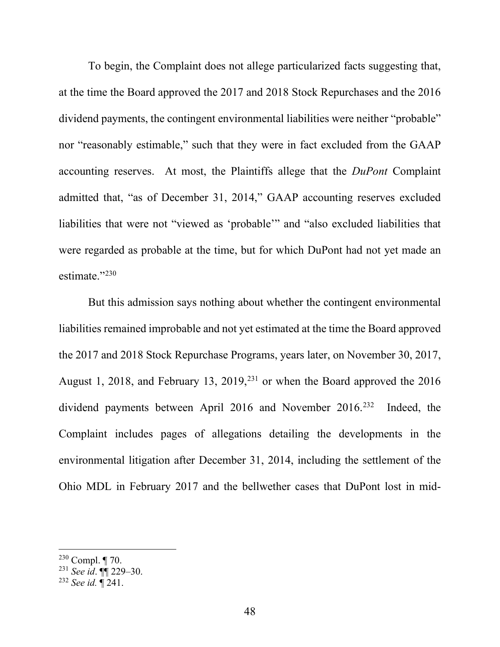To begin, the Complaint does not allege particularized facts suggesting that, at the time the Board approved the 2017 and 2018 Stock Repurchases and the 2016 dividend payments, the contingent environmental liabilities were neither "probable" nor "reasonably estimable," such that they were in fact excluded from the GAAP accounting reserves. At most, the Plaintiffs allege that the *DuPont* Complaint admitted that, "as of December 31, 2014," GAAP accounting reserves excluded liabilities that were not "viewed as 'probable'" and "also excluded liabilities that were regarded as probable at the time, but for which DuPont had not yet made an estimate."<sup>230</sup>

But this admission says nothing about whether the contingent environmental liabilities remained improbable and not yet estimated at the time the Board approved the 2017 and 2018 Stock Repurchase Programs, years later, on November 30, 2017, August 1, 2018, and February 13, 2019,<sup>231</sup> or when the Board approved the 2016 dividend payments between April 2016 and November 2016.<sup>232</sup> Indeed, the Complaint includes pages of allegations detailing the developments in the environmental litigation after December 31, 2014, including the settlement of the Ohio MDL in February 2017 and the bellwether cases that DuPont lost in mid-

 $230$  Compl.  $\P$  70.

<sup>231</sup> *See id*. ¶¶ 229–30.

<sup>232</sup> *See id.* ¶ 241.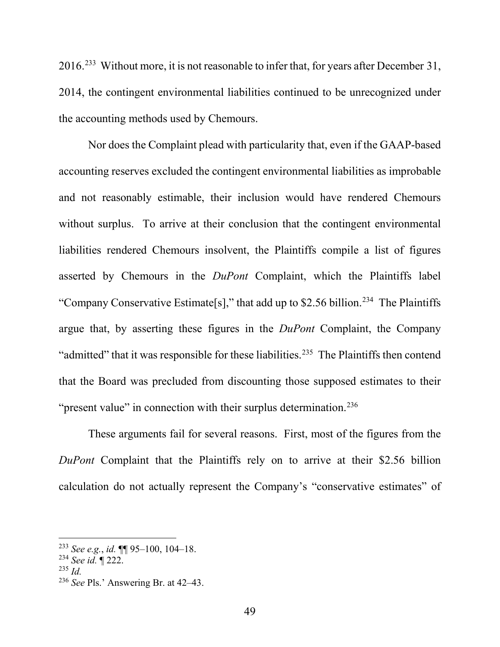2016.<sup>233</sup> Without more, it is not reasonable to infer that, for years after December 31, 2014, the contingent environmental liabilities continued to be unrecognized under the accounting methods used by Chemours.

Nor does the Complaint plead with particularity that, even if the GAAP-based accounting reserves excluded the contingent environmental liabilities as improbable and not reasonably estimable, their inclusion would have rendered Chemours without surplus. To arrive at their conclusion that the contingent environmental liabilities rendered Chemours insolvent, the Plaintiffs compile a list of figures asserted by Chemours in the *DuPont* Complaint, which the Plaintiffs label "Company Conservative Estimate<sup>[s]</sup>," that add up to \$2.56 billion.<sup>234</sup> The Plaintiffs argue that, by asserting these figures in the *DuPont* Complaint, the Company "admitted" that it was responsible for these liabilities.<sup>235</sup> The Plaintiffs then contend that the Board was precluded from discounting those supposed estimates to their "present value" in connection with their surplus determination.<sup>236</sup>

These arguments fail for several reasons. First, most of the figures from the *DuPont* Complaint that the Plaintiffs rely on to arrive at their \$2.56 billion calculation do not actually represent the Company's "conservative estimates" of

<sup>233</sup> *See e.g.*, *id.* ¶¶ 95–100, 104–18.

<sup>234</sup> *See id.* ¶ 222.

<sup>235</sup> *Id.*

<sup>236</sup> *See* Pls.' Answering Br. at 42–43.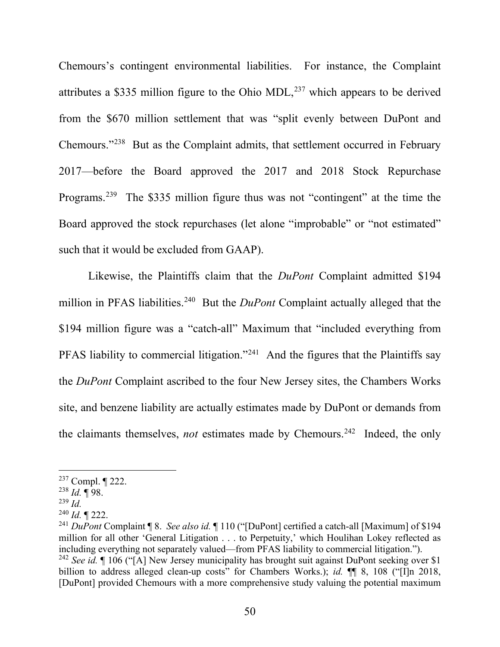Chemours's contingent environmental liabilities. For instance, the Complaint attributes a \$335 million figure to the Ohio MDL, $^{237}$  which appears to be derived from the \$670 million settlement that was "split evenly between DuPont and Chemours."238 But as the Complaint admits, that settlement occurred in February 2017—before the Board approved the 2017 and 2018 Stock Repurchase Programs.239 The \$335 million figure thus was not "contingent" at the time the Board approved the stock repurchases (let alone "improbable" or "not estimated" such that it would be excluded from GAAP).

Likewise, the Plaintiffs claim that the *DuPont* Complaint admitted \$194 million in PFAS liabilities.<sup>240</sup> But the *DuPont* Complaint actually alleged that the \$194 million figure was a "catch-all" Maximum that "included everything from PFAS liability to commercial litigation."<sup>241</sup> And the figures that the Plaintiffs say the *DuPont* Complaint ascribed to the four New Jersey sites, the Chambers Works site, and benzene liability are actually estimates made by DuPont or demands from the claimants themselves, *not* estimates made by Chemours. 242 Indeed, the only

<sup>237</sup> Compl. ¶ 222.

<sup>238</sup> *Id.* ¶ 98.

<sup>239</sup> *Id.*

<sup>240</sup> *Id.* ¶ 222.

<sup>241</sup> *DuPont* Complaint ¶ 8. *See also id.* ¶ 110 ("[DuPont] certified a catch-all [Maximum] of \$194 million for all other 'General Litigation . . . to Perpetuity,' which Houlihan Lokey reflected as including everything not separately valued—from PFAS liability to commercial litigation."). <sup>242</sup> *See id.* If 106 ("[A] New Jersey municipality has brought suit against DuPont seeking over \$1 billion to address alleged clean-up costs" for Chambers Works.); *id.* **[1]** 8, 108 ("[I]n 2018, [DuPont] provided Chemours with a more comprehensive study valuing the potential maximum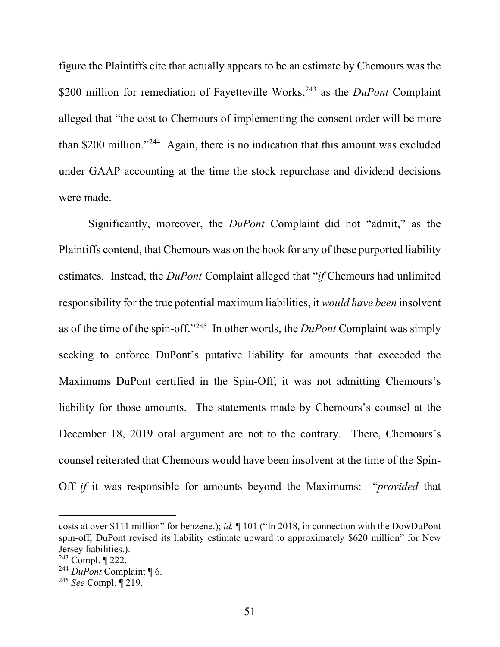figure the Plaintiffs cite that actually appears to be an estimate by Chemours was the \$200 million for remediation of Fayetteville Works,<sup>243</sup> as the *DuPont* Complaint alleged that "the cost to Chemours of implementing the consent order will be more than \$200 million."244 Again, there is no indication that this amount was excluded under GAAP accounting at the time the stock repurchase and dividend decisions were made.

Significantly, moreover, the *DuPont* Complaint did not "admit," as the Plaintiffs contend, that Chemours was on the hook for any of these purported liability estimates. Instead, the *DuPont* Complaint alleged that "*if* Chemours had unlimited responsibility for the true potential maximum liabilities, it *would have been* insolvent as of the time of the spin-off."245 In other words, the *DuPont* Complaint was simply seeking to enforce DuPont's putative liability for amounts that exceeded the Maximums DuPont certified in the Spin-Off; it was not admitting Chemours's liability for those amounts. The statements made by Chemours's counsel at the December 18, 2019 oral argument are not to the contrary. There, Chemours's counsel reiterated that Chemours would have been insolvent at the time of the Spin-Off *if* it was responsible for amounts beyond the Maximums: "*provided* that

costs at over \$111 million" for benzene.); *id.* ¶ 101 ("In 2018, in connection with the DowDuPont spin-off, DuPont revised its liability estimate upward to approximately \$620 million" for New Jersey liabilities.).

 $243$  Compl.  $\P$  222.

<sup>244</sup> *DuPont* Complaint ¶ 6.

<sup>245</sup> *See* Compl. ¶ 219.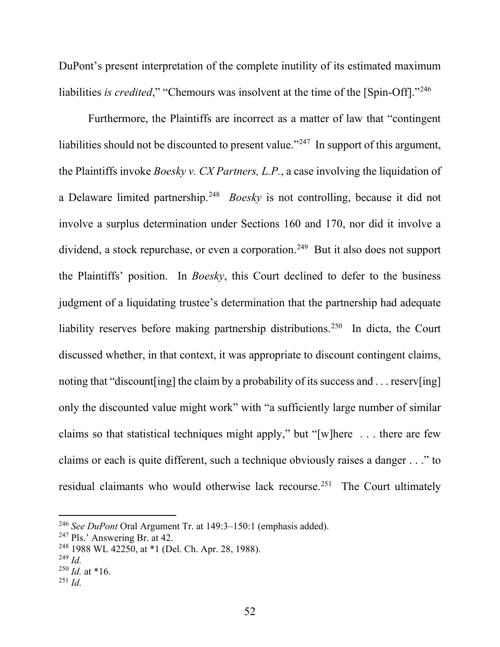DuPont's present interpretation of the complete inutility of its estimated maximum liabilities *is credited*," "Chemours was insolvent at the time of the [Spin-Off]."<sup>246</sup>

Furthermore, the Plaintiffs are incorrect as a matter of law that "contingent liabilities should not be discounted to present value."<sup>247</sup> In support of this argument, the Plaintiffs invoke *Boesky v. CX Partners, L.P.*, a case involving the liquidation of a Delaware limited partnership.248 *Boesky* is not controlling, because it did not involve a surplus determination under Sections 160 and 170, nor did it involve a dividend, a stock repurchase, or even a corporation.<sup>249</sup> But it also does not support the Plaintiffs' position. In *Boesky*, this Court declined to defer to the business judgment of a liquidating trustee's determination that the partnership had adequate liability reserves before making partnership distributions.<sup>250</sup> In dicta, the Court discussed whether, in that context, it was appropriate to discount contingent claims, noting that "discount [ing] the claim by a probability of its success and . . . reserv [ing] only the discounted value might work" with "a sufficiently large number of similar claims so that statistical techniques might apply," but "[w]here . . . there are few claims or each is quite different, such a technique obviously raises a danger . . ." to residual claimants who would otherwise lack recourse.<sup>251</sup> The Court ultimately

<sup>246</sup> *See DuPont* Oral Argument Tr. at 149:3–150:1 (emphasis added).

<sup>247</sup> Pls.' Answering Br. at 42.

<sup>248</sup> 1988 WL 42250, at \*1 (Del. Ch. Apr. 28, 1988).

<sup>249</sup> *Id.*

 $^{250}$  *Id.* at \*16.

<sup>251</sup> *Id.*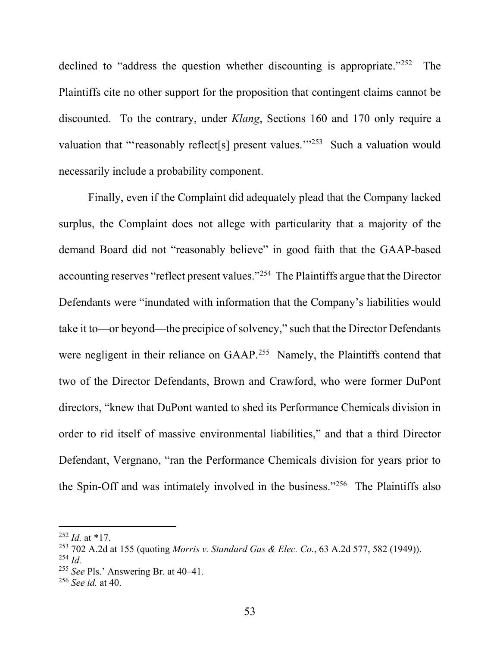declined to "address the question whether discounting is appropriate."<sup>252</sup> The Plaintiffs cite no other support for the proposition that contingent claims cannot be discounted. To the contrary, under *Klang*, Sections 160 and 170 only require a valuation that "'reasonably reflect[s] present values."<sup>253</sup> Such a valuation would necessarily include a probability component.

Finally, even if the Complaint did adequately plead that the Company lacked surplus, the Complaint does not allege with particularity that a majority of the demand Board did not "reasonably believe" in good faith that the GAAP-based accounting reserves "reflect present values."254 The Plaintiffs argue that the Director Defendants were "inundated with information that the Company's liabilities would take it to—or beyond—the precipice of solvency," such that the Director Defendants were negligent in their reliance on GAAP.<sup>255</sup> Namely, the Plaintiffs contend that two of the Director Defendants, Brown and Crawford, who were former DuPont directors, "knew that DuPont wanted to shed its Performance Chemicals division in order to rid itself of massive environmental liabilities," and that a third Director Defendant, Vergnano, "ran the Performance Chemicals division for years prior to the Spin-Off and was intimately involved in the business."256 The Plaintiffs also

 $^{252}$  *Id.* at \*17.

<sup>253</sup> 702 A.2d at 155 (quoting *Morris v. Standard Gas & Elec. Co.*, 63 A.2d 577, 582 (1949)).

<sup>254</sup> *Id.*

<sup>255</sup> *See* Pls.' Answering Br. at 40–41.

<sup>256</sup> *See id.* at 40.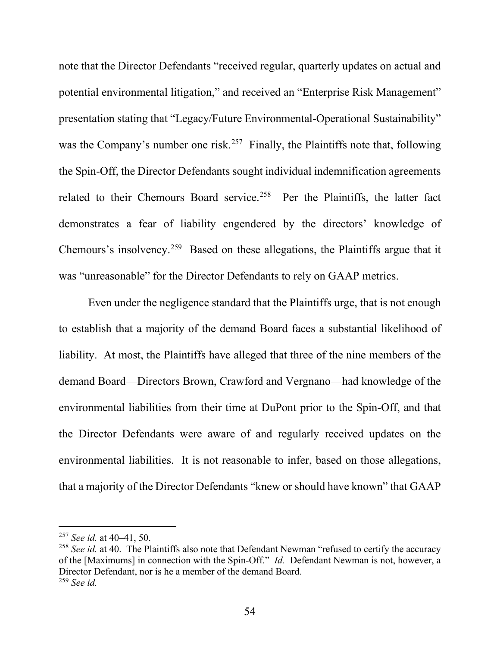note that the Director Defendants "received regular, quarterly updates on actual and potential environmental litigation," and received an "Enterprise Risk Management" presentation stating that "Legacy/Future Environmental-Operational Sustainability" was the Company's number one risk.<sup>257</sup> Finally, the Plaintiffs note that, following the Spin-Off, the Director Defendants sought individual indemnification agreements related to their Chemours Board service.<sup>258</sup> Per the Plaintiffs, the latter fact demonstrates a fear of liability engendered by the directors' knowledge of Chemours's insolvency.259 Based on these allegations, the Plaintiffs argue that it was "unreasonable" for the Director Defendants to rely on GAAP metrics.

Even under the negligence standard that the Plaintiffs urge, that is not enough to establish that a majority of the demand Board faces a substantial likelihood of liability. At most, the Plaintiffs have alleged that three of the nine members of the demand Board—Directors Brown, Crawford and Vergnano—had knowledge of the environmental liabilities from their time at DuPont prior to the Spin-Off, and that the Director Defendants were aware of and regularly received updates on the environmental liabilities. It is not reasonable to infer, based on those allegations, that a majority of the Director Defendants "knew or should have known" that GAAP

<sup>257</sup> *See id.* at 40–41, 50.

<sup>258</sup> *See id.* at 40. The Plaintiffs also note that Defendant Newman "refused to certify the accuracy of the [Maximums] in connection with the Spin-Off." *Id.* Defendant Newman is not, however, a Director Defendant, nor is he a member of the demand Board. <sup>259</sup> *See id.*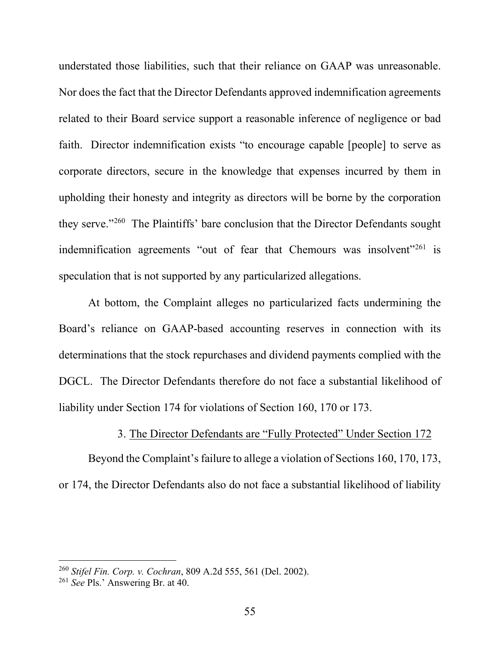understated those liabilities, such that their reliance on GAAP was unreasonable. Nor does the fact that the Director Defendants approved indemnification agreements related to their Board service support a reasonable inference of negligence or bad faith. Director indemnification exists "to encourage capable [people] to serve as corporate directors, secure in the knowledge that expenses incurred by them in upholding their honesty and integrity as directors will be borne by the corporation they serve."260 The Plaintiffs' bare conclusion that the Director Defendants sought indemnification agreements "out of fear that Chemours was insolvent"<sup>261</sup> is speculation that is not supported by any particularized allegations.

At bottom, the Complaint alleges no particularized facts undermining the Board's reliance on GAAP-based accounting reserves in connection with its determinations that the stock repurchases and dividend payments complied with the DGCL. The Director Defendants therefore do not face a substantial likelihood of liability under Section 174 for violations of Section 160, 170 or 173.

### 3. The Director Defendants are "Fully Protected" Under Section 172

Beyond the Complaint's failure to allege a violation of Sections 160, 170, 173, or 174, the Director Defendants also do not face a substantial likelihood of liability

<sup>260</sup> *Stifel Fin. Corp. v. Cochran*, 809 A.2d 555, 561 (Del. 2002).

<sup>261</sup> *See* Pls.' Answering Br. at 40.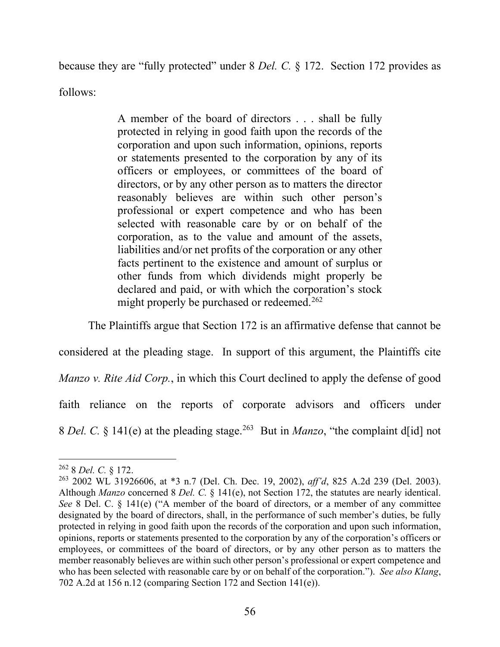because they are "fully protected" under 8 *Del. C.* § 172. Section 172 provides as

follows:

A member of the board of directors . . . shall be fully protected in relying in good faith upon the records of the corporation and upon such information, opinions, reports or statements presented to the corporation by any of its officers or employees, or committees of the board of directors, or by any other person as to matters the director reasonably believes are within such other person's professional or expert competence and who has been selected with reasonable care by or on behalf of the corporation, as to the value and amount of the assets, liabilities and/or net profits of the corporation or any other facts pertinent to the existence and amount of surplus or other funds from which dividends might properly be declared and paid, or with which the corporation's stock might properly be purchased or redeemed.<sup>262</sup>

The Plaintiffs argue that Section 172 is an affirmative defense that cannot be

considered at the pleading stage. In support of this argument, the Plaintiffs cite *Manzo v. Rite Aid Corp.*, in which this Court declined to apply the defense of good faith reliance on the reports of corporate advisors and officers under 8 *Del. C.* § 141(e) at the pleading stage.263 But in *Manzo*, "the complaint d[id] not

<sup>262</sup> 8 *Del. C.* § 172.

<sup>263</sup> 2002 WL 31926606, at \*3 n.7 (Del. Ch. Dec. 19, 2002), *aff'd*, 825 A.2d 239 (Del. 2003). Although *Manzo* concerned 8 *Del. C.* § 141(e), not Section 172, the statutes are nearly identical. *See* 8 Del. C. § 141(e) ("A member of the board of directors, or a member of any committee designated by the board of directors, shall, in the performance of such member's duties, be fully protected in relying in good faith upon the records of the corporation and upon such information, opinions, reports or statements presented to the corporation by any of the corporation's officers or employees, or committees of the board of directors, or by any other person as to matters the member reasonably believes are within such other person's professional or expert competence and who has been selected with reasonable care by or on behalf of the corporation."). *See also Klang*, 702 A.2d at 156 n.12 (comparing Section 172 and Section 141(e)).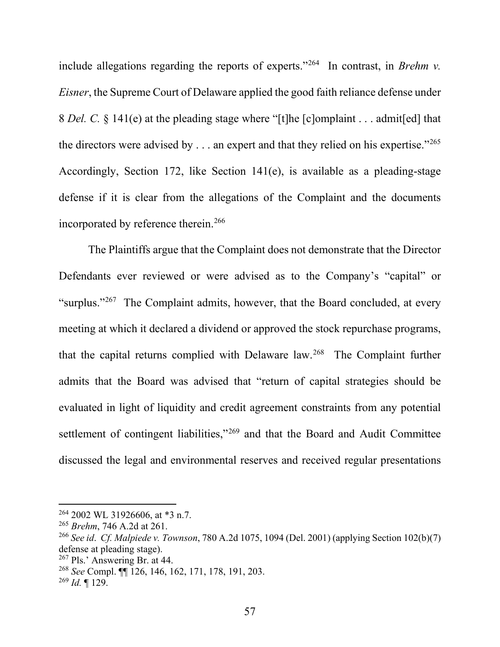include allegations regarding the reports of experts."264 In contrast, in *Brehm v. Eisner*, the Supreme Court of Delaware applied the good faith reliance defense under 8 *Del. C.* § 141(e) at the pleading stage where "[t]he [c]omplaint . . . admit[ed] that the directors were advised by  $\dots$  an expert and that they relied on his expertise."<sup>265</sup> Accordingly, Section 172, like Section 141(e), is available as a pleading-stage defense if it is clear from the allegations of the Complaint and the documents incorporated by reference therein. 266

The Plaintiffs argue that the Complaint does not demonstrate that the Director Defendants ever reviewed or were advised as to the Company's "capital" or "surplus."<sup>267</sup> The Complaint admits, however, that the Board concluded, at every meeting at which it declared a dividend or approved the stock repurchase programs, that the capital returns complied with Delaware law.268 The Complaint further admits that the Board was advised that "return of capital strategies should be evaluated in light of liquidity and credit agreement constraints from any potential settlement of contingent liabilities,"<sup>269</sup> and that the Board and Audit Committee discussed the legal and environmental reserves and received regular presentations

<sup>264</sup> 2002 WL 31926606, at \*3 n.7.

<sup>265</sup> *Brehm*, 746 A.2d at 261.

<sup>266</sup> *See id*. *Cf. Malpiede v. Townson*, 780 A.2d 1075, 1094 (Del. 2001) (applying Section 102(b)(7) defense at pleading stage).

 $267$  Pls.' Answering Br. at 44.

<sup>268</sup> *See* Compl. ¶¶ 126, 146, 162, 171, 178, 191, 203.

<sup>269</sup> *Id.* ¶ 129.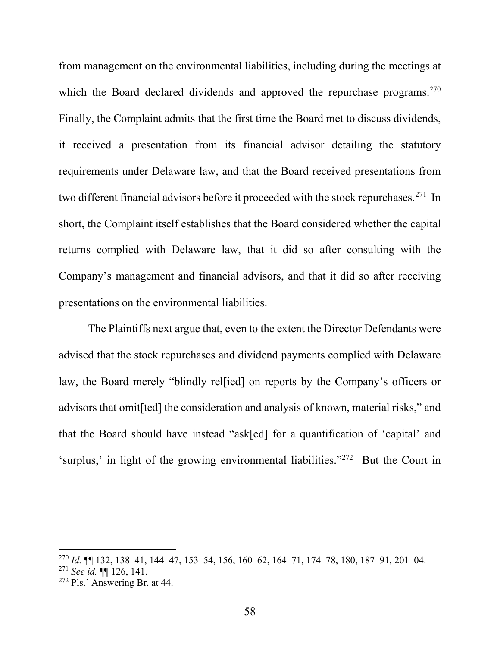from management on the environmental liabilities, including during the meetings at which the Board declared dividends and approved the repurchase programs.<sup>270</sup> Finally, the Complaint admits that the first time the Board met to discuss dividends, it received a presentation from its financial advisor detailing the statutory requirements under Delaware law, and that the Board received presentations from two different financial advisors before it proceeded with the stock repurchases.<sup>271</sup> In short, the Complaint itself establishes that the Board considered whether the capital returns complied with Delaware law, that it did so after consulting with the Company's management and financial advisors, and that it did so after receiving presentations on the environmental liabilities.

The Plaintiffs next argue that, even to the extent the Director Defendants were advised that the stock repurchases and dividend payments complied with Delaware law, the Board merely "blindly rel[ied] on reports by the Company's officers or advisors that omit[ted] the consideration and analysis of known, material risks," and that the Board should have instead "ask[ed] for a quantification of 'capital' and 'surplus,' in light of the growing environmental liabilities."272 But the Court in

<sup>270</sup> *Id.* ¶¶ 132, 138–41, 144–47, 153–54, 156, 160–62, 164–71, 174–78, 180, 187–91, 201–04.

<sup>271</sup> *See id.* ¶¶ 126, 141.

<sup>272</sup> Pls.' Answering Br. at 44.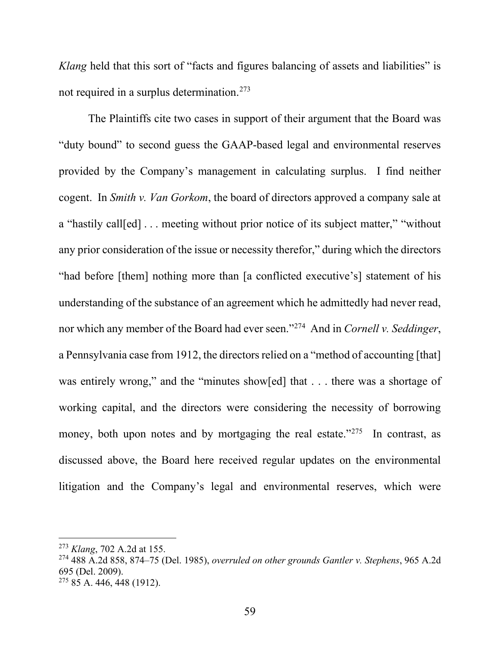*Klang* held that this sort of "facts and figures balancing of assets and liabilities" is not required in a surplus determination.273

The Plaintiffs cite two cases in support of their argument that the Board was "duty bound" to second guess the GAAP-based legal and environmental reserves provided by the Company's management in calculating surplus. I find neither cogent. In *Smith v. Van Gorkom*, the board of directors approved a company sale at a "hastily call[ed] . . . meeting without prior notice of its subject matter," "without any prior consideration of the issue or necessity therefor," during which the directors "had before [them] nothing more than [a conflicted executive's] statement of his understanding of the substance of an agreement which he admittedly had never read, nor which any member of the Board had ever seen."274 And in *Cornell v. Seddinger*, a Pennsylvania case from 1912, the directors relied on a "method of accounting [that] was entirely wrong," and the "minutes show[ed] that . . . there was a shortage of working capital, and the directors were considering the necessity of borrowing money, both upon notes and by mortgaging the real estate."<sup>275</sup> In contrast, as discussed above, the Board here received regular updates on the environmental litigation and the Company's legal and environmental reserves, which were

<sup>273</sup> *Klang*, 702 A.2d at 155.

<sup>274</sup> 488 A.2d 858, 874–75 (Del. 1985), *overruled on other grounds Gantler v. Stephens*, 965 A.2d 695 (Del. 2009).

<sup>275</sup> 85 A. 446, 448 (1912).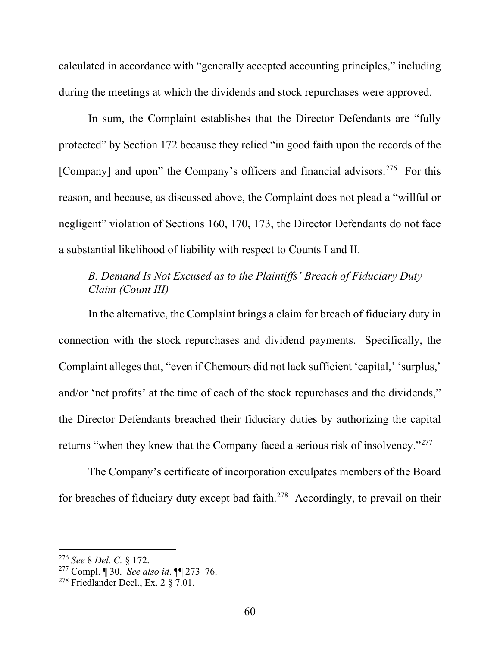calculated in accordance with "generally accepted accounting principles," including during the meetings at which the dividends and stock repurchases were approved.

In sum, the Complaint establishes that the Director Defendants are "fully protected" by Section 172 because they relied "in good faith upon the records of the [Company] and upon" the Company's officers and financial advisors.<sup>276</sup> For this reason, and because, as discussed above, the Complaint does not plead a "willful or negligent" violation of Sections 160, 170, 173, the Director Defendants do not face a substantial likelihood of liability with respect to Counts I and II.

# *B. Demand Is Not Excused as to the Plaintiffs' Breach of Fiduciary Duty Claim (Count III)*

In the alternative, the Complaint brings a claim for breach of fiduciary duty in connection with the stock repurchases and dividend payments. Specifically, the Complaint alleges that, "even if Chemours did not lack sufficient 'capital,' 'surplus,' and/or 'net profits' at the time of each of the stock repurchases and the dividends," the Director Defendants breached their fiduciary duties by authorizing the capital returns "when they knew that the Company faced a serious risk of insolvency."277

The Company's certificate of incorporation exculpates members of the Board for breaches of fiduciary duty except bad faith.<sup>278</sup> Accordingly, to prevail on their

<sup>276</sup> *See* 8 *Del. C.* § 172.

<sup>277</sup> Compl. ¶ 30. *See also id*. ¶¶ 273–76.

 $278$  Friedlander Decl., Ex. 2  $87.01$ .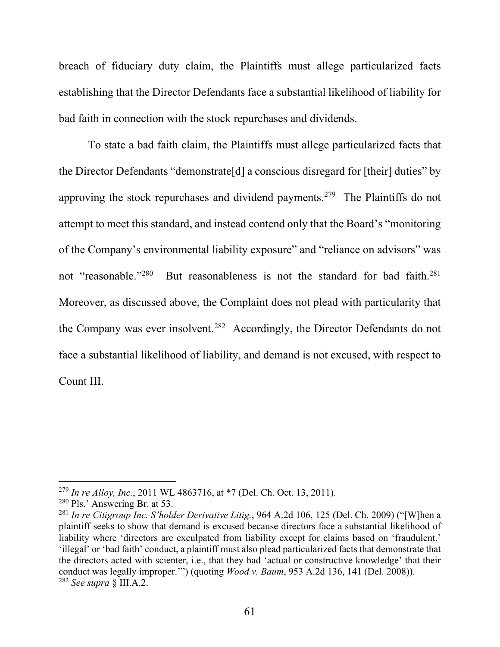breach of fiduciary duty claim, the Plaintiffs must allege particularized facts establishing that the Director Defendants face a substantial likelihood of liability for bad faith in connection with the stock repurchases and dividends.

To state a bad faith claim, the Plaintiffs must allege particularized facts that the Director Defendants "demonstrate[d] a conscious disregard for [their] duties" by approving the stock repurchases and dividend payments.279 The Plaintiffs do not attempt to meet this standard, and instead contend only that the Board's "monitoring of the Company's environmental liability exposure" and "reliance on advisors" was not "reasonable."<sup>280</sup> But reasonableness is not the standard for bad faith.<sup>281</sup> Moreover, as discussed above, the Complaint does not plead with particularity that the Company was ever insolvent.<sup>282</sup> Accordingly, the Director Defendants do not face a substantial likelihood of liability, and demand is not excused, with respect to Count III.

<sup>279</sup> *In re Alloy, Inc.*, 2011 WL 4863716, at \*7 (Del. Ch. Oct. 13, 2011).

<sup>280</sup> Pls.' Answering Br. at 53.

<sup>281</sup> *In re Citigroup Inc. S'holder Derivative Litig.*, 964 A.2d 106, 125 (Del. Ch. 2009) ("[W]hen a plaintiff seeks to show that demand is excused because directors face a substantial likelihood of liability where 'directors are exculpated from liability except for claims based on 'fraudulent,' 'illegal' or 'bad faith' conduct, a plaintiff must also plead particularized facts that demonstrate that the directors acted with scienter, i.e., that they had 'actual or constructive knowledge' that their conduct was legally improper.'") (quoting *Wood v. Baum*, 953 A.2d 136, 141 (Del. 2008)). <sup>282</sup> *See supra* § III.A.2.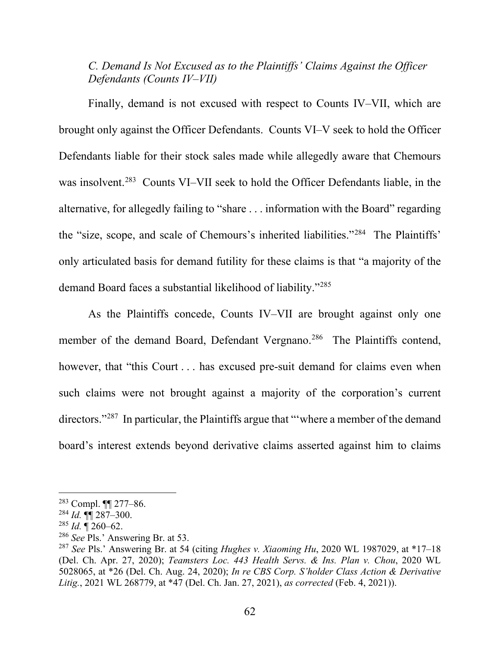# *C. Demand Is Not Excused as to the Plaintiffs' Claims Against the Officer Defendants (Counts IV–VII)*

Finally, demand is not excused with respect to Counts IV–VII, which are brought only against the Officer Defendants. Counts VI–V seek to hold the Officer Defendants liable for their stock sales made while allegedly aware that Chemours was insolvent.<sup>283</sup> Counts VI–VII seek to hold the Officer Defendants liable, in the alternative, for allegedly failing to "share . . . information with the Board" regarding the "size, scope, and scale of Chemours's inherited liabilities."284 The Plaintiffs' only articulated basis for demand futility for these claims is that "a majority of the demand Board faces a substantial likelihood of liability."285

As the Plaintiffs concede, Counts IV–VII are brought against only one member of the demand Board, Defendant Vergnano.<sup>286</sup> The Plaintiffs contend, however, that "this Court . . . has excused pre-suit demand for claims even when such claims were not brought against a majority of the corporation's current directors."<sup>287</sup> In particular, the Plaintiffs argue that "'where a member of the demand board's interest extends beyond derivative claims asserted against him to claims

<sup>283</sup> Compl. ¶¶ 277–86.

<sup>284</sup> *Id.* ¶¶ 287–300.

 $^{285}$  *Id.*  $\sqrt{260-62}$ .

<sup>286</sup> *See* Pls.' Answering Br. at 53.

<sup>287</sup> *See* Pls.' Answering Br. at 54 (citing *Hughes v. Xiaoming Hu*, 2020 WL 1987029, at \*17–18 (Del. Ch. Apr. 27, 2020); *Teamsters Loc. 443 Health Servs. & Ins. Plan v. Chou*, 2020 WL 5028065, at \*26 (Del. Ch. Aug. 24, 2020); *In re CBS Corp. S'holder Class Action & Derivative Litig.*, 2021 WL 268779, at \*47 (Del. Ch. Jan. 27, 2021), *as corrected* (Feb. 4, 2021)).